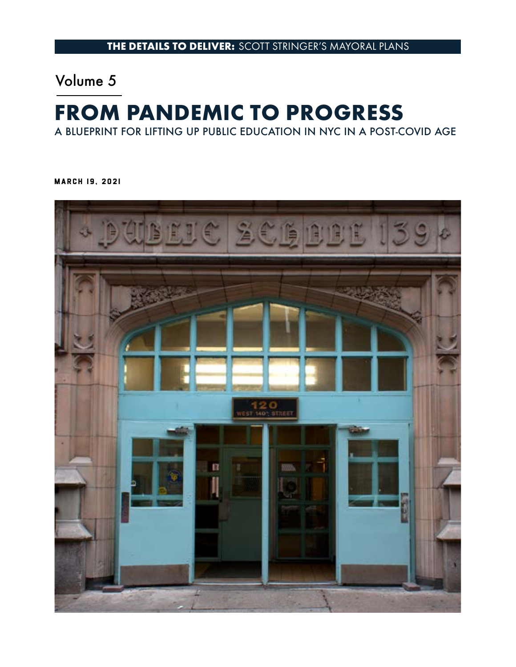# Volume 5

# **FROM PANDEMIC TO PROGRESS**

A BLUEPRINT FOR LIFTING UP PUBLIC EDUCATION IN NYC IN A POST-COVID AGE

MARCH 19, 2021

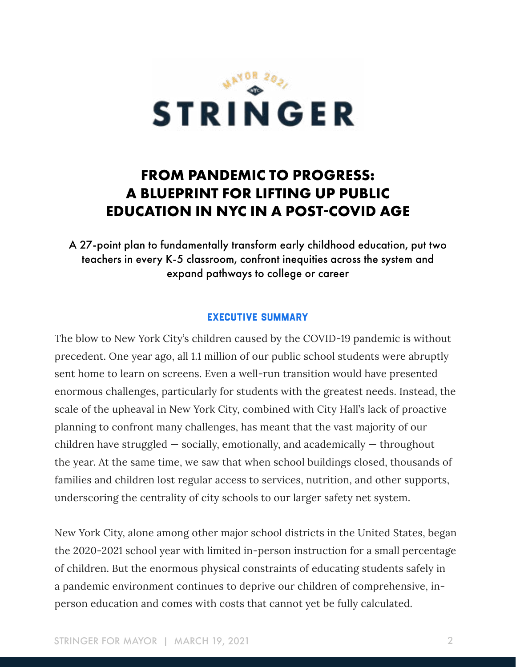

# **FROM PANDEMIC TO PROGRESS: A BLUEPRINT FOR LIFTING UP PUBLIC EDUCATION IN NYC IN A POST-COVID AGE**

A 27-point plan to fundamentally transform early childhood education, put two teachers in every K-5 classroom, confront inequities across the system and expand pathways to college or career

#### EXECUTIVE SUMMARY

The blow to New York City's children caused by the COVID-19 pandemic is without precedent. One year ago, all 1.1 million of our public school students were abruptly sent home to learn on screens. Even a well-run transition would have presented enormous challenges, particularly for students with the greatest needs. Instead, the scale of the upheaval in New York City, combined with City Hall's lack of proactive planning to confront many challenges, has meant that the vast majority of our children have struggled — socially, emotionally, and academically — throughout the year. At the same time, we saw that when school buildings closed, thousands of families and children lost regular access to services, nutrition, and other supports, underscoring the centrality of city schools to our larger safety net system.

New York City, alone among other major school districts in the United States, began the 2020-2021 school year with limited in-person instruction for a small percentage of children. But the enormous physical constraints of educating students safely in a pandemic environment continues to deprive our children of comprehensive, inperson education and comes with costs that cannot yet be fully calculated.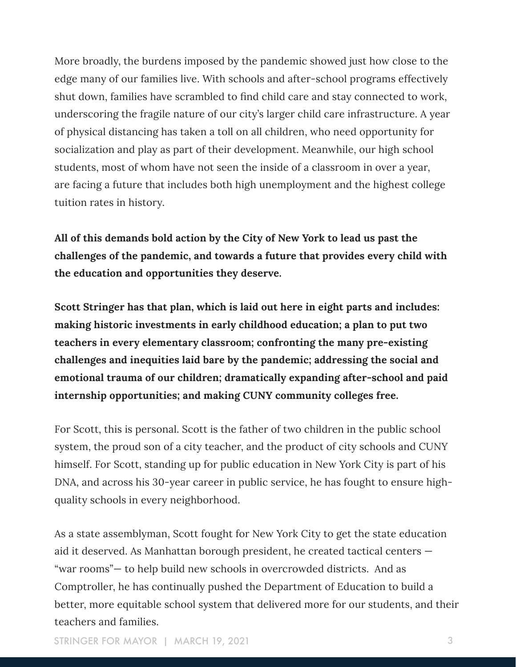More broadly, the burdens imposed by the pandemic showed just how close to the edge many of our families live. With schools and after-school programs effectively shut down, families have scrambled to find child care and stay connected to work, underscoring the fragile nature of our city's larger child care infrastructure. A year of physical distancing has taken a toll on all children, who need opportunity for socialization and play as part of their development. Meanwhile, our high school students, most of whom have not seen the inside of a classroom in over a year, are facing a future that includes both high unemployment and the highest college tuition rates in history.

**All of this demands bold action by the City of New York to lead us past the challenges of the pandemic, and towards a future that provides every child with the education and opportunities they deserve.**

**Scott Stringer has that plan, which is laid out here in eight parts and includes: making historic investments in early childhood education; a plan to put two teachers in every elementary classroom; confronting the many pre-existing challenges and inequities laid bare by the pandemic; addressing the social and emotional trauma of our children; dramatically expanding after-school and paid internship opportunities; and making CUNY community colleges free.**

For Scott, this is personal. Scott is the father of two children in the public school system, the proud son of a city teacher, and the product of city schools and CUNY himself. For Scott, standing up for public education in New York City is part of his DNA, and across his 30-year career in public service, he has fought to ensure highquality schools in every neighborhood.

As a state assemblyman, Scott fought for New York City to get the state education aid it deserved. As Manhattan borough president, he created tactical centers — "war rooms"— to help build new schools in overcrowded districts. And as Comptroller, he has continually pushed the Department of Education to build a better, more equitable school system that delivered more for our students, and their teachers and families.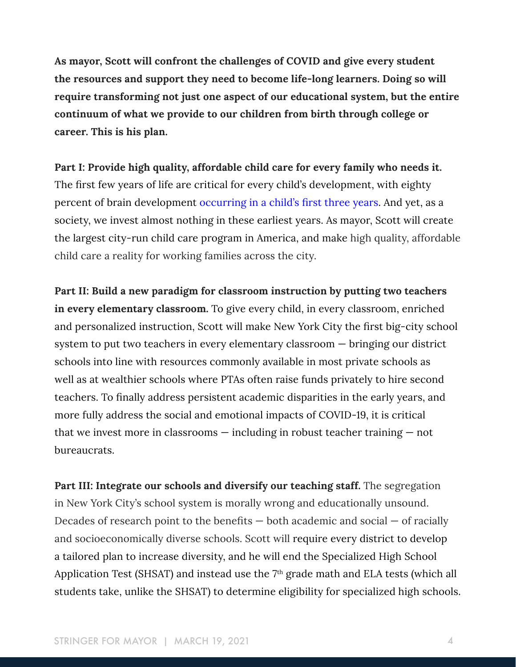**As mayor, Scott will confront the challenges of COVID and give every student the resources and support they need to become life-long learners. Doing so will require transforming not just one aspect of our educational system, but the entire continuum of what we provide to our children from birth through college or career. This is his plan.**

**Part I: Provide high quality, affordable child care for every family who needs it.**  The first few years of life are critical for every child's development, with eighty percent of brain development [occurring in a child's first three years](https://www.ncbi.nlm.nih.gov/books/NBK225557/). And yet, as a society, we invest almost nothing in these earliest years. As mayor, Scott will create the largest city-run child care program in America, and make high quality, affordable child care a reality for working families across the city.

**Part II: Build a new paradigm for classroom instruction by putting two teachers in every elementary classroom.** To give every child, in every classroom, enriched and personalized instruction, Scott will make New York City the first big-city school system to put two teachers in every elementary classroom — bringing our district schools into line with resources commonly available in most private schools as well as at wealthier schools where PTAs often raise funds privately to hire second teachers. To finally address persistent academic disparities in the early years, and more fully address the social and emotional impacts of COVID-19, it is critical that we invest more in classrooms — including in robust teacher training — not bureaucrats.

**Part III: Integrate our schools and diversify our teaching staff.** The segregation in New York City's school system is morally wrong and educationally unsound. Decades of research point to the benefits  $-$  both academic and social  $-$  of racially and socioeconomically diverse schools. Scott will require every district to develop a tailored plan to increase diversity, and he will end the Specialized High School Application Test (SHSAT) and instead use the  $7<sup>th</sup>$  grade math and ELA tests (which all students take, unlike the SHSAT) to determine eligibility for specialized high schools.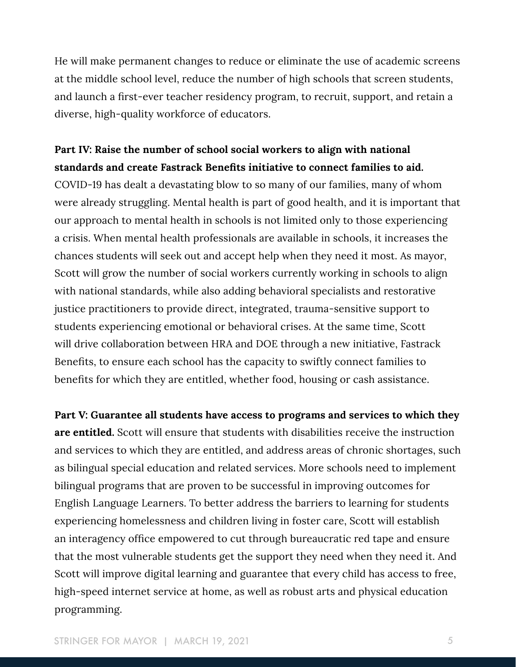He will make permanent changes to reduce or eliminate the use of academic screens at the middle school level, reduce the number of high schools that screen students, and launch a first-ever teacher residency program, to recruit, support, and retain a diverse, high-quality workforce of educators.

### **Part IV: Raise the number of school social workers to align with national standards and create Fastrack Benefits initiative to connect families to aid.**

COVID-19 has dealt a devastating blow to so many of our families, many of whom were already struggling. Mental health is part of good health, and it is important that our approach to mental health in schools is not limited only to those experiencing a crisis. When mental health professionals are available in schools, it increases the chances students will seek out and accept help when they need it most. As mayor, Scott will grow the number of social workers currently working in schools to align with national standards, while also adding behavioral specialists and restorative justice practitioners to provide direct, integrated, trauma-sensitive support to students experiencing emotional or behavioral crises. At the same time, Scott will drive collaboration between HRA and DOE through a new initiative, Fastrack Benefits, to ensure each school has the capacity to swiftly connect families to benefits for which they are entitled, whether food, housing or cash assistance.

**Part V: Guarantee all students have access to programs and services to which they are entitled.** Scott will ensure that students with disabilities receive the instruction and services to which they are entitled, and address areas of chronic shortages, such as bilingual special education and related services. More schools need to implement bilingual programs that are proven to be successful in improving outcomes for English Language Learners. To better address the barriers to learning for students experiencing homelessness and children living in foster care, Scott will establish an interagency office empowered to cut through bureaucratic red tape and ensure that the most vulnerable students get the support they need when they need it. And Scott will improve digital learning and guarantee that every child has access to free, high-speed internet service at home, as well as robust arts and physical education programming.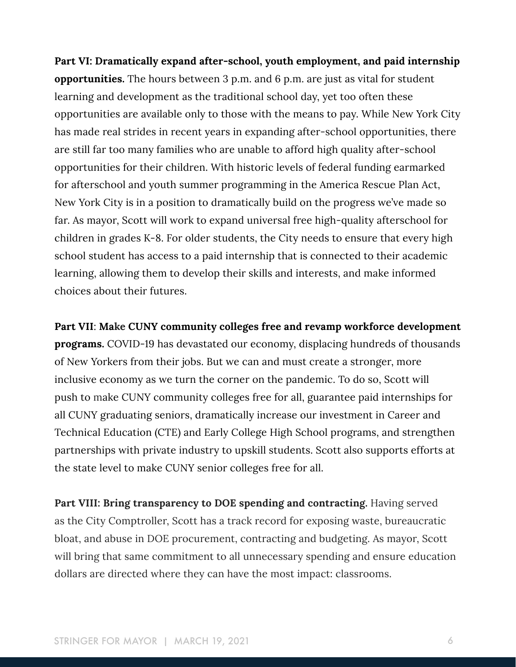**Part VI: Dramatically expand after-school, youth employment, and paid internship opportunities.** The hours between 3 p.m. and 6 p.m. are just as vital for student learning and development as the traditional school day, yet too often these opportunities are available only to those with the means to pay. While New York City has made real strides in recent years in expanding after-school opportunities, there are still far too many families who are unable to afford high quality after-school opportunities for their children. With historic levels of federal funding earmarked for afterschool and youth summer programming in the America Rescue Plan Act, New York City is in a position to dramatically build on the progress we've made so far. As mayor, Scott will work to expand universal free high-quality afterschool for children in grades K-8. For older students, the City needs to ensure that every high school student has access to a paid internship that is connected to their academic learning, allowing them to develop their skills and interests, and make informed choices about their futures.

**Part VII**: **Make CUNY community colleges free and revamp workforce development programs.** COVID-19 has devastated our economy, displacing hundreds of thousands of New Yorkers from their jobs. But we can and must create a stronger, more inclusive economy as we turn the corner on the pandemic. To do so, Scott will push to make CUNY community colleges free for all, guarantee paid internships for all CUNY graduating seniors, dramatically increase our investment in Career and Technical Education (CTE) and Early College High School programs, and strengthen partnerships with private industry to upskill students. Scott also supports efforts at the state level to make CUNY senior colleges free for all.

**Part VIII: Bring transparency to DOE spending and contracting.** Having served as the City Comptroller, Scott has a track record for exposing waste, bureaucratic bloat, and abuse in DOE procurement, contracting and budgeting. As mayor, Scott will bring that same commitment to all unnecessary spending and ensure education dollars are directed where they can have the most impact: classrooms.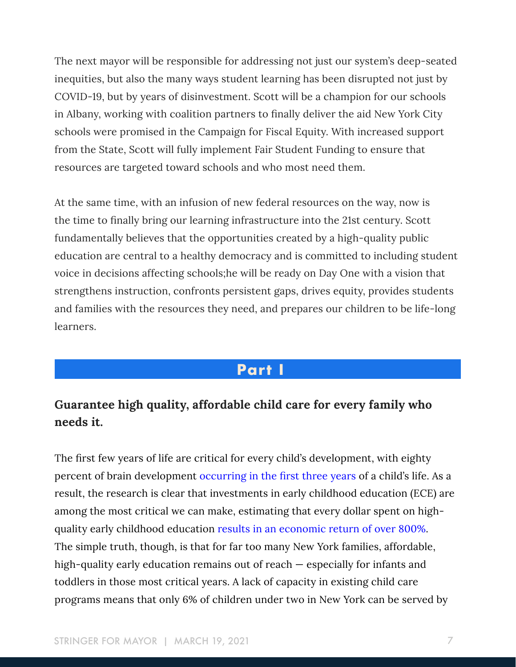The next mayor will be responsible for addressing not just our system's deep-seated inequities, but also the many ways student learning has been disrupted not just by COVID-19, but by years of disinvestment. Scott will be a champion for our schools in Albany, working with coalition partners to finally deliver the aid New York City schools were promised in the Campaign for Fiscal Equity. With increased support from the State, Scott will fully implement Fair Student Funding to ensure that resources are targeted toward schools and who most need them.

At the same time, with an infusion of new federal resources on the way, now is the time to finally bring our learning infrastructure into the 21st century. Scott fundamentally believes that the opportunities created by a high-quality public education are central to a healthy democracy and is committed to including student voice in decisions affecting schools;he will be ready on Day One with a vision that strengthens instruction, confronts persistent gaps, drives equity, provides students and families with the resources they need, and prepares our children to be life-long learners.

# **Part I**

# **Guarantee high quality, affordable child care for every family who needs it.**

The first few years of life are critical for every child's development, with eighty percent of brain development [occurring in the first three years](https://www.ncbi.nlm.nih.gov/books/NBK225557/) of a child's life. As a result, the research is clear that investments in early childhood education (ECE) are among the most critical we can make, estimating that every dollar spent on highquality early childhood education [results in an economic return of over 800%.](https://obamawhitehouse.archives.gov/sites/default/files/docs/early_childhood_report_update_final_non-embargo.pdf) The simple truth, though, is that for far too many New York families, affordable, high-quality early education remains out of reach — especially for infants and toddlers in those most critical years. A lack of capacity in existing child care programs means that only 6% of children under two in New York can be served by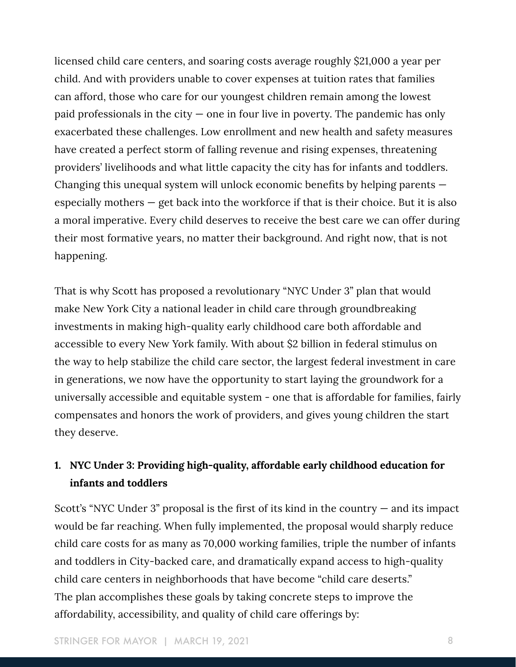licensed child care centers, and soaring costs average roughly \$21,000 a year per child. And with providers unable to cover expenses at tuition rates that families can afford, those who care for our youngest children remain among the lowest paid professionals in the city  $-$  one in four live in poverty. The pandemic has only exacerbated these challenges. Low enrollment and new health and safety measures have created a perfect storm of falling revenue and rising expenses, threatening providers' livelihoods and what little capacity the city has for infants and toddlers. Changing this unequal system will unlock economic benefits by helping parents especially mothers — get back into the workforce if that is their choice. But it is also a moral imperative. Every child deserves to receive the best care we can offer during their most formative years, no matter their background. And right now, that is not happening.

That is why Scott has proposed a revolutionary "NYC Under 3" plan that would make New York City a national leader in child care through groundbreaking investments in making high-quality early childhood care both affordable and accessible to every New York family. With about \$2 billion in federal stimulus on the way to help stabilize the child care sector, the largest federal investment in care in generations, we now have the opportunity to start laying the groundwork for a universally accessible and equitable system - one that is affordable for families, fairly compensates and honors the work of providers, and gives young children the start they deserve.

## **1. NYC Under 3: Providing high-quality, affordable early childhood education for infants and toddlers**

Scott's "NYC Under 3" proposal is the first of its kind in the country  $-$  and its impact would be far reaching. When fully implemented, the proposal would sharply reduce child care costs for as many as 70,000 working families, triple the number of infants and toddlers in City-backed care, and dramatically expand access to high-quality child care centers in neighborhoods that have become "child care deserts." The plan accomplishes these goals by taking concrete steps to improve the affordability, accessibility, and quality of child care offerings by: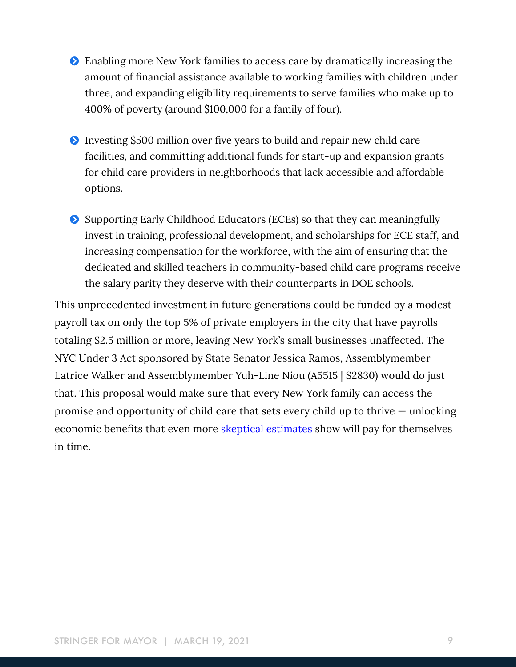- Ģ Enabling more New York families to access care by dramatically increasing the amount of financial assistance available to working families with children under three, and expanding eligibility requirements to serve families who make up to 400% of poverty (around \$100,000 for a family of four).
- **•** Investing \$500 million over five years to build and repair new child care facilities, and committing additional funds for start-up and expansion grants for child care providers in neighborhoods that lack accessible and affordable options.
- Ģ Supporting Early Childhood Educators (ECEs) so that they can meaningfully invest in training, professional development, and scholarships for ECE staff, and increasing compensation for the workforce, with the aim of ensuring that the dedicated and skilled teachers in community-based child care programs receive the salary parity they deserve with their counterparts in DOE schools.

This unprecedented investment in future generations could be funded by a modest payroll tax on only the top 5% of private employers in the city that have payrolls totaling \$2.5 million or more, leaving New York's small businesses unaffected. The NYC Under 3 Act sponsored by State Senator Jessica Ramos, Assemblymember Latrice Walker and Assemblymember Yuh-Line Niou (A5515 | S2830) would do just that. This proposal would make sure that every New York family can access the promise and opportunity of child care that sets every child up to thrive — unlocking economic benefits that even more [skeptical estimates](https://www.rand.org/content/dam/rand/pubs/research_reports/RR1900/RR1993/RAND_RR1993.pdf) show will pay for themselves in time.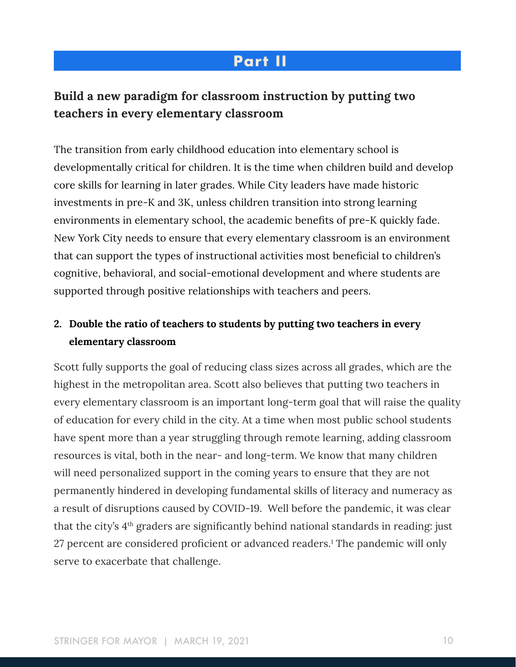# **Part II**

# **Build a new paradigm for classroom instruction by putting two teachers in every elementary classroom**

The transition from early childhood education into elementary school is developmentally critical for children. It is the time when children build and develop core skills for learning in later grades. While City leaders have made historic investments in pre-K and 3K, unless children transition into strong learning environments in elementary school, the academic benefits of pre-K quickly fade. New York City needs to ensure that every elementary classroom is an environment that can support the types of instructional activities most beneficial to children's cognitive, behavioral, and social-emotional development and where students are supported through positive relationships with teachers and peers.

## **2. Double the ratio of teachers to students by putting two teachers in every elementary classroom**

Scott fully supports the goal of reducing class sizes across all grades, which are the highest in the metropolitan area. Scott also believes that putting two teachers in every elementary classroom is an important long-term goal that will raise the quality of education for every child in the city. At a time when most public school students have spent more than a year struggling through remote learning, adding classroom resources is vital, both in the near- and long-term. We know that many children will need personalized support in the coming years to ensure that they are not permanently hindered in developing fundamental skills of literacy and numeracy as a result of disruptions caused by COVID-19. Well before the pandemic, it was clear that the city's 4<sup>th</sup> graders are significantly behind national standards in reading: just 27 percent are considered proficient or advanced readers.<sup>1</sup> The pandemic will only serve to exacerbate that challenge.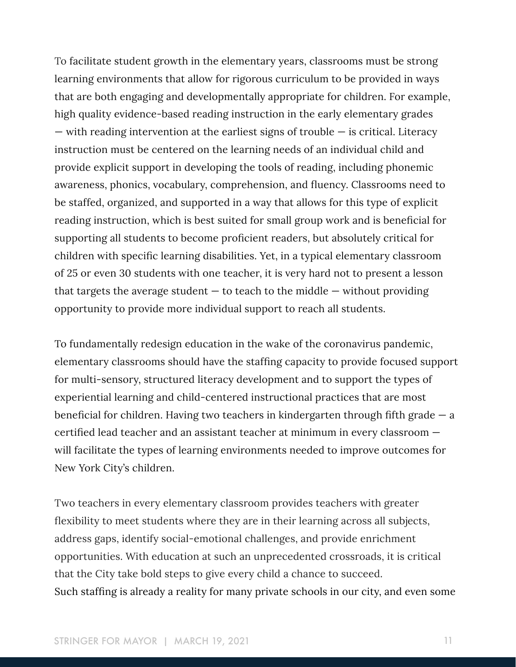To facilitate student growth in the elementary years, classrooms must be strong learning environments that allow for rigorous curriculum to be provided in ways that are both engaging and developmentally appropriate for children. For example, high quality evidence-based reading instruction in the early elementary grades — with reading intervention at the earliest signs of trouble — is critical. Literacy instruction must be centered on the learning needs of an individual child and provide explicit support in developing the tools of reading, including phonemic awareness, phonics, vocabulary, comprehension, and fluency. Classrooms need to be staffed, organized, and supported in a way that allows for this type of explicit reading instruction, which is best suited for small group work and is beneficial for supporting all students to become proficient readers, but absolutely critical for children with specific learning disabilities. Yet, in a typical elementary classroom of 25 or even 30 students with one teacher, it is very hard not to present a lesson that targets the average student  $-$  to teach to the middle  $-$  without providing opportunity to provide more individual support to reach all students.

To fundamentally redesign education in the wake of the coronavirus pandemic, elementary classrooms should have the staffing capacity to provide focused support for multi-sensory, structured literacy development and to support the types of experiential learning and child-centered instructional practices that are most beneficial for children. Having two teachers in kindergarten through fifth grade — a certified lead teacher and an assistant teacher at minimum in every classroom will facilitate the types of learning environments needed to improve outcomes for New York City's children.

Two teachers in every elementary classroom provides teachers with greater flexibility to meet students where they are in their learning across all subjects, address gaps, identify social-emotional challenges, and provide enrichment opportunities. With education at such an unprecedented crossroads, it is critical that the City take bold steps to give every child a chance to succeed. Such staffing is already a reality for many private schools in our city, and even some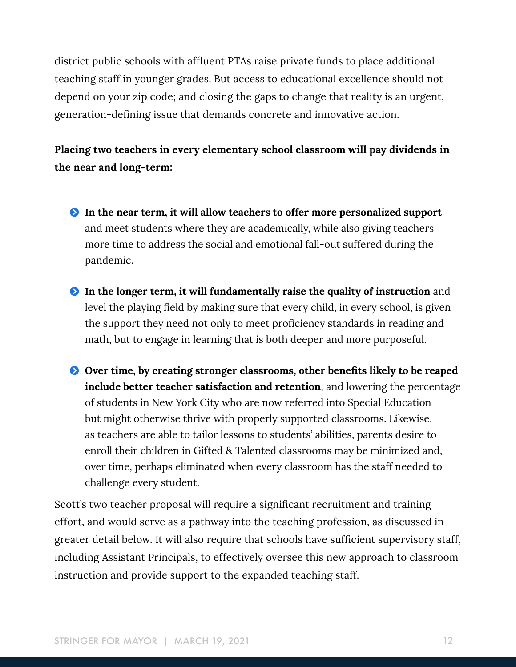district public schools with affluent PTAs raise private funds to place additional teaching staff in younger grades. But access to educational excellence should not depend on your zip code; and closing the gaps to change that reality is an urgent, generation-defining issue that demands concrete and innovative action.

**Placing two teachers in every elementary school classroom will pay dividends in the near and long-term:** 

- Ģ **In the near term, it will allow teachers to offer more personalized support**  and meet students where they are academically, while also giving teachers more time to address the social and emotional fall-out suffered during the pandemic.
- Ģ **In the longer term, it will fundamentally raise the quality of instruction** and level the playing field by making sure that every child, in every school, is given the support they need not only to meet proficiency standards in reading and math, but to engage in learning that is both deeper and more purposeful.
- $\bullet$  Over time, by creating stronger classrooms, other benefits likely to be reaped **include better teacher satisfaction and retention**, and lowering the percentage of students in New York City who are now referred into Special Education but might otherwise thrive with properly supported classrooms. Likewise, as teachers are able to tailor lessons to students' abilities, parents desire to enroll their children in Gifted & Talented classrooms may be minimized and, over time, perhaps eliminated when every classroom has the staff needed to challenge every student.

Scott's two teacher proposal will require a significant recruitment and training effort, and would serve as a pathway into the teaching profession, as discussed in greater detail below. It will also require that schools have sufficient supervisory staff, including Assistant Principals, to effectively oversee this new approach to classroom instruction and provide support to the expanded teaching staff.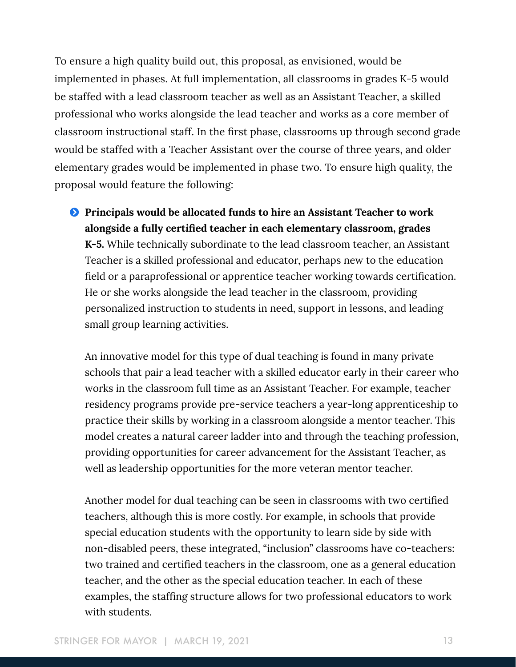To ensure a high quality build out, this proposal, as envisioned, would be implemented in phases. At full implementation, all classrooms in grades K-5 would be staffed with a lead classroom teacher as well as an Assistant Teacher, a skilled professional who works alongside the lead teacher and works as a core member of classroom instructional staff. In the first phase, classrooms up through second grade would be staffed with a Teacher Assistant over the course of three years, and older elementary grades would be implemented in phase two. To ensure high quality, the proposal would feature the following:

**P** Principals would be allocated funds to hire an Assistant Teacher to work **alongside a fully certified teacher in each elementary classroom, grades K-5.** While technically subordinate to the lead classroom teacher, an Assistant Teacher is a skilled professional and educator, perhaps new to the education field or a paraprofessional or apprentice teacher working towards certification. He or she works alongside the lead teacher in the classroom, providing personalized instruction to students in need, support in lessons, and leading small group learning activities.

An innovative model for this type of dual teaching is found in many private schools that pair a lead teacher with a skilled educator early in their career who works in the classroom full time as an Assistant Teacher. For example, teacher residency programs provide pre-service teachers a year-long apprenticeship to practice their skills by working in a classroom alongside a mentor teacher. This model creates a natural career ladder into and through the teaching profession, providing opportunities for career advancement for the Assistant Teacher, as well as leadership opportunities for the more veteran mentor teacher.

Another model for dual teaching can be seen in classrooms with two certified teachers, although this is more costly. For example, in schools that provide special education students with the opportunity to learn side by side with non-disabled peers, these integrated, "inclusion" classrooms have co-teachers: two trained and certified teachers in the classroom, one as a general education teacher, and the other as the special education teacher. In each of these examples, the staffing structure allows for two professional educators to work with students.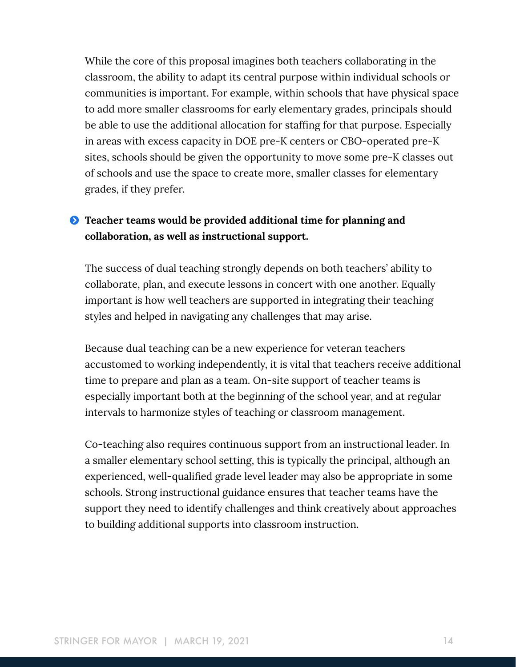While the core of this proposal imagines both teachers collaborating in the classroom, the ability to adapt its central purpose within individual schools or communities is important. For example, within schools that have physical space to add more smaller classrooms for early elementary grades, principals should be able to use the additional allocation for staffing for that purpose. Especially in areas with excess capacity in DOE pre-K centers or CBO-operated pre-K sites, schools should be given the opportunity to move some pre-K classes out of schools and use the space to create more, smaller classes for elementary grades, if they prefer.

### Ģ **Teacher teams would be provided additional time for planning and collaboration, as well as instructional support.**

The success of dual teaching strongly depends on both teachers' ability to collaborate, plan, and execute lessons in concert with one another. Equally important is how well teachers are supported in integrating their teaching styles and helped in navigating any challenges that may arise.

Because dual teaching can be a new experience for veteran teachers accustomed to working independently, it is vital that teachers receive additional time to prepare and plan as a team. On-site support of teacher teams is especially important both at the beginning of the school year, and at regular intervals to harmonize styles of teaching or classroom management.

Co-teaching also requires continuous support from an instructional leader. In a smaller elementary school setting, this is typically the principal, although an experienced, well-qualified grade level leader may also be appropriate in some schools. Strong instructional guidance ensures that teacher teams have the support they need to identify challenges and think creatively about approaches to building additional supports into classroom instruction.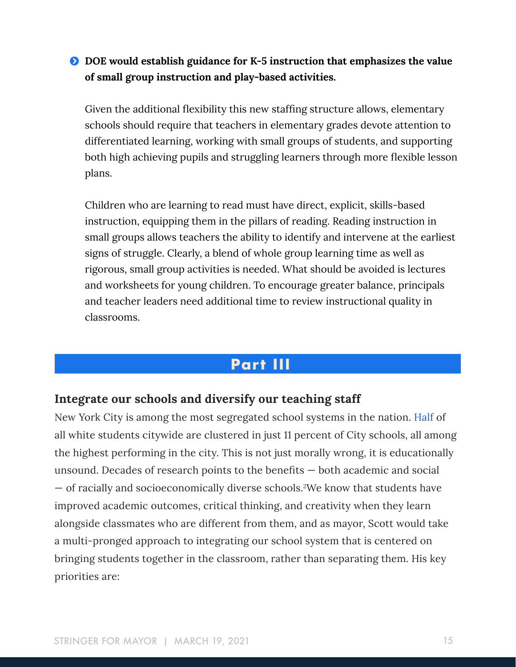### Ģ **DOE would establish guidance for K-5 instruction that emphasizes the value of small group instruction and play-based activities.**

Given the additional flexibility this new staffing structure allows, elementary schools should require that teachers in elementary grades devote attention to differentiated learning, working with small groups of students, and supporting both high achieving pupils and struggling learners through more flexible lesson plans.

Children who are learning to read must have direct, explicit, skills-based instruction, equipping them in the pillars of reading. Reading instruction in small groups allows teachers the ability to identify and intervene at the earliest signs of struggle. Clearly, a blend of whole group learning time as well as rigorous, small group activities is needed. What should be avoided is lectures and worksheets for young children. To encourage greater balance, principals and teacher leaders need additional time to review instructional quality in classrooms.

# **Part III**

### **Integrate our schools and diversify our teaching staff**

New York City is among the most segregated school systems in the nation. [Half](https://www.nytimes.com/2016/06/12/magazine/choosing-a-school-for-my-daughter-in-a-segregated-city.html) of all white students citywide are clustered in just 11 percent of City schools, all among the highest performing in the city. This is not just morally wrong, it is educationally unsound. Decades of research points to the benefits — both academic and social — of racially and socioeconomically diverse schools.2 We know that students have improved academic outcomes, critical thinking, and creativity when they learn alongside classmates who are different from them, and as mayor, Scott would take a multi-pronged approach to integrating our school system that is centered on bringing students together in the classroom, rather than separating them. His key priorities are: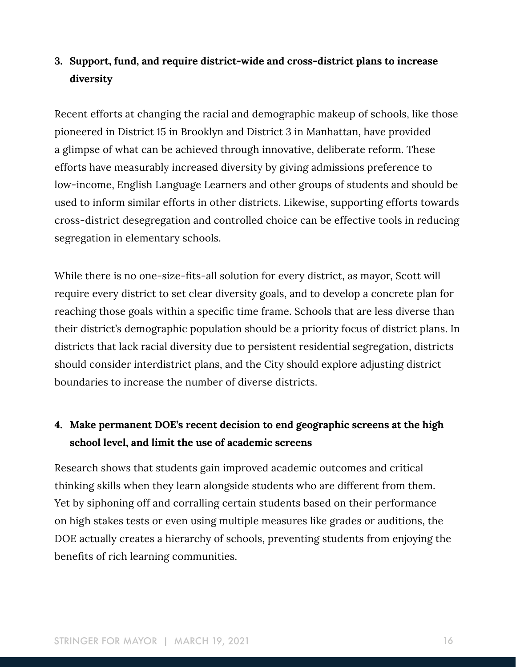## **3. Support, fund, and require district-wide and cross-district plans to increase diversity**

Recent efforts at changing the racial and demographic makeup of schools, like those pioneered in District 15 in Brooklyn and District 3 in Manhattan, have provided a glimpse of what can be achieved through innovative, deliberate reform. These efforts have measurably increased diversity by giving admissions preference to low-income, English Language Learners and other groups of students and should be used to inform similar efforts in other districts. Likewise, supporting efforts towards cross-district desegregation and controlled choice can be effective tools in reducing segregation in elementary schools.

While there is no one-size-fits-all solution for every district, as mayor, Scott will require every district to set clear diversity goals, and to develop a concrete plan for reaching those goals within a specific time frame. Schools that are less diverse than their district's demographic population should be a priority focus of district plans. In districts that lack racial diversity due to persistent residential segregation, districts should consider interdistrict plans, and the City should explore adjusting district boundaries to increase the number of diverse districts.

## **4. Make permanent DOE's recent decision to end geographic screens at the high school level, and limit the use of academic screens**

Research shows that students gain improved academic outcomes and critical thinking skills when they learn alongside students who are different from them. Yet by siphoning off and corralling certain students based on their performance on high stakes tests or even using multiple measures like grades or auditions, the DOE actually creates a hierarchy of schools, preventing students from enjoying the benefits of rich learning communities.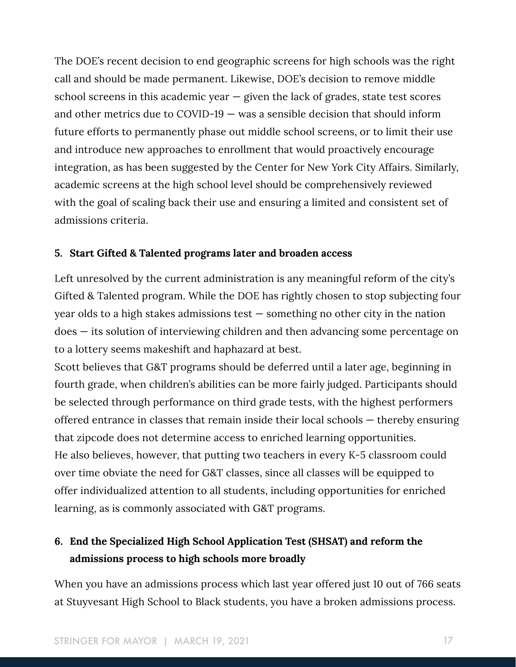The DOE's recent decision to end geographic screens for high schools was the right call and should be made permanent. Likewise, DOE's decision to remove middle school screens in this academic year  $-$  given the lack of grades, state test scores and other metrics due to COVID-19 — was a sensible decision that should inform future efforts to permanently phase out middle school screens, or to limit their use and introduce new approaches to enrollment that would proactively encourage integration, as has been suggested by the Center for New York City Affairs. Similarly, academic screens at the high school level should be comprehensively reviewed with the goal of scaling back their use and ensuring a limited and consistent set of admissions criteria.

#### **5. Start Gifted & Talented programs later and broaden access**

Left unresolved by the current administration is any meaningful reform of the city's Gifted & Talented program. While the DOE has rightly chosen to stop subjecting four year olds to a high stakes admissions test — something no other city in the nation does — its solution of interviewing children and then advancing some percentage on to a lottery seems makeshift and haphazard at best.

Scott believes that G&T programs should be deferred until a later age, beginning in fourth grade, when children's abilities can be more fairly judged. Participants should be selected through performance on third grade tests, with the highest performers offered entrance in classes that remain inside their local schools — thereby ensuring that zipcode does not determine access to enriched learning opportunities. He also believes, however, that putting two teachers in every K-5 classroom could over time obviate the need for G&T classes, since all classes will be equipped to offer individualized attention to all students, including opportunities for enriched learning, as is commonly associated with G&T programs.

# **6. End the Specialized High School Application Test (SHSAT) and reform the admissions process to high schools more broadly**

When you have an admissions process which last year offered just 10 out of 766 seats at Stuyvesant High School to Black students, you have a broken admissions process.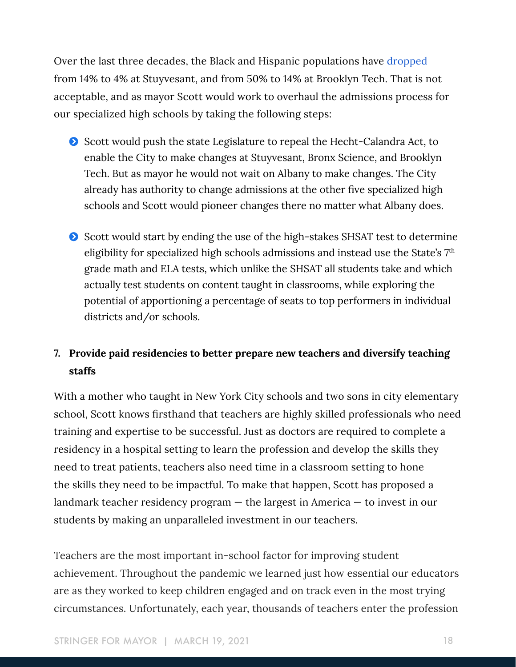Over the last three decades, the Black and Hispanic populations have [dropped](https://www.nytimes.com/interactive/2019/06/03/nyregion/nyc-public-schools-black-hispanic-students.html) from 14% to 4% at Stuyvesant, and from 50% to 14% at Brooklyn Tech. That is not acceptable, and as mayor Scott would work to overhaul the admissions process for our specialized high schools by taking the following steps:

- Scott would push the state Legislature to repeal the Hecht-Calandra Act, to enable the City to make changes at Stuyvesant, Bronx Science, and Brooklyn Tech. But as mayor he would not wait on Albany to make changes. The City already has authority to change admissions at the other five specialized high schools and Scott would pioneer changes there no matter what Albany does.
- Scott would start by ending the use of the high-stakes SHSAT test to determine eligibility for specialized high schools admissions and instead use the State's 7th grade math and ELA tests, which unlike the SHSAT all students take and which actually test students on content taught in classrooms, while exploring the potential of apportioning a percentage of seats to top performers in individual districts and/or schools.

# **7. Provide paid residencies to better prepare new teachers and diversify teaching staffs**

With a mother who taught in New York City schools and two sons in city elementary school, Scott knows firsthand that teachers are highly skilled professionals who need training and expertise to be successful. Just as doctors are required to complete a residency in a hospital setting to learn the profession and develop the skills they need to treat patients, teachers also need time in a classroom setting to hone the skills they need to be impactful. To make that happen, Scott has proposed a landmark teacher residency program — the largest in America — to invest in our students by making an unparalleled investment in our teachers.

Teachers are the most important in-school factor for improving student achievement. Throughout the pandemic we learned just how essential our educators are as they worked to keep children engaged and on track even in the most trying circumstances. Unfortunately, each year, thousands of teachers enter the profession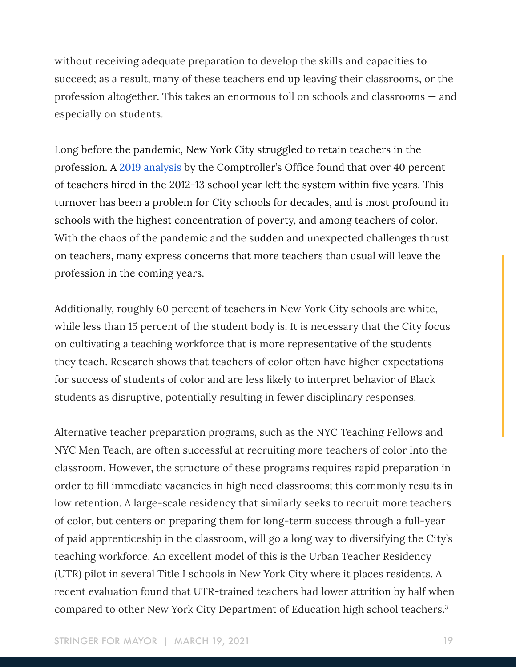without receiving adequate preparation to develop the skills and capacities to succeed; as a result, many of these teachers end up leaving their classrooms, or the profession altogether. This takes an enormous toll on schools and classrooms — and especially on students.

Long before the pandemic, New York City struggled to retain teachers in the profession. A [2019 analysis](https://comptroller.nyc.gov/reports/teacher-residencies-supporting-the-next-generation-of-teachers-and-students/) by the Comptroller's Office found that over 40 percent of teachers hired in the 2012-13 school year left the system within five years. This turnover has been a problem for City schools for decades, and is most profound in schools with the highest concentration of poverty, and among teachers of color. With the chaos of the pandemic and the sudden and unexpected challenges thrust on teachers, many express concerns that more teachers than usual will leave the profession in the coming years.

Additionally, roughly 60 percent of teachers in New York City schools are white, while less than 15 percent of the student body is. It is necessary that the City focus on cultivating a teaching workforce that is more representative of the students they teach. Research shows that teachers of color often have higher expectations for success of students of color and are less likely to interpret behavior of Black students as disruptive, potentially resulting in fewer disciplinary responses.

Alternative teacher preparation programs, such as the NYC Teaching Fellows and NYC Men Teach, are often successful at recruiting more teachers of color into the classroom. However, the structure of these programs requires rapid preparation in order to fill immediate vacancies in high need classrooms; this commonly results in low retention. A large-scale residency that similarly seeks to recruit more teachers of color, but centers on preparing them for long-term success through a full-year of paid apprenticeship in the classroom, will go a long way to diversifying the City's teaching workforce. An excellent model of this is the Urban Teacher Residency (UTR) pilot in several Title I schools in New York City where it places residents. A recent evaluation found that UTR-trained teachers had lower attrition by half when compared to other New York City Department of Education high school teachers.3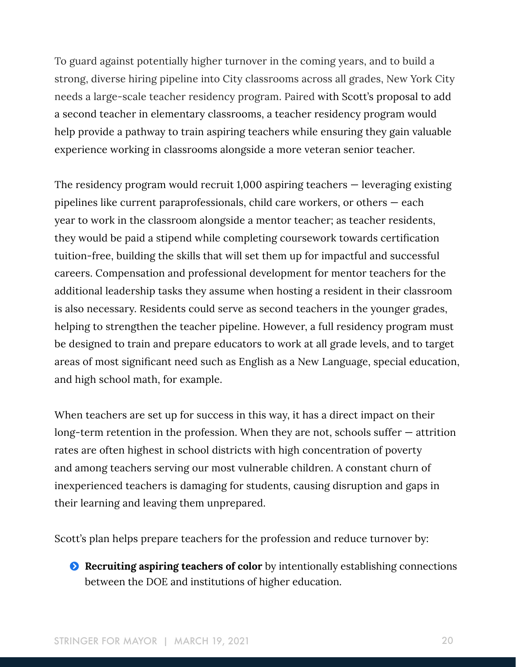To guard against potentially higher turnover in the coming years, and to build a strong, diverse hiring pipeline into City classrooms across all grades, New York City needs a large-scale teacher residency program. Paired with Scott's proposal to add a second teacher in elementary classrooms, a teacher residency program would help provide a pathway to train aspiring teachers while ensuring they gain valuable experience working in classrooms alongside a more veteran senior teacher.

The residency program would recruit 1,000 aspiring teachers — leveraging existing pipelines like current paraprofessionals, child care workers, or others — each year to work in the classroom alongside a mentor teacher; as teacher residents, they would be paid a stipend while completing coursework towards certification tuition-free, building the skills that will set them up for impactful and successful careers. Compensation and professional development for mentor teachers for the additional leadership tasks they assume when hosting a resident in their classroom is also necessary. Residents could serve as second teachers in the younger grades, helping to strengthen the teacher pipeline. However, a full residency program must be designed to train and prepare educators to work at all grade levels, and to target areas of most significant need such as English as a New Language, special education, and high school math, for example.

When teachers are set up for success in this way, it has a direct impact on their long-term retention in the profession. When they are not, schools suffer — attrition rates are often highest in school districts with high concentration of poverty and among teachers serving our most vulnerable children. A constant churn of inexperienced teachers is damaging for students, causing disruption and gaps in their learning and leaving them unprepared.

Scott's plan helps prepare teachers for the profession and reduce turnover by:

**Executing aspiring teachers of color** by intentionally establishing connections between the DOE and institutions of higher education.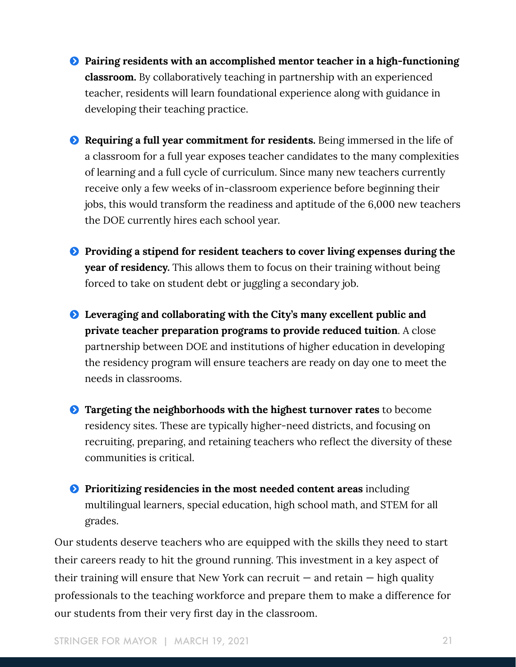- $\bullet$  Pairing residents with an accomplished mentor teacher in a high-functioning **classroom.** By collaboratively teaching in partnership with an experienced teacher, residents will learn foundational experience along with guidance in developing their teaching practice.
- $\bullet$  Requiring a full year commitment for residents. Being immersed in the life of a classroom for a full year exposes teacher candidates to the many complexities of learning and a full cycle of curriculum. Since many new teachers currently receive only a few weeks of in-classroom experience before beginning their jobs, this would transform the readiness and aptitude of the 6,000 new teachers the DOE currently hires each school year.
- $\bullet$  Providing a stipend for resident teachers to cover living expenses during the **year of residency.** This allows them to focus on their training without being forced to take on student debt or juggling a secondary job.
- Ģ **Leveraging and collaborating with the City's many excellent public and private teacher preparation programs to provide reduced tuition**. A close partnership between DOE and institutions of higher education in developing the residency program will ensure teachers are ready on day one to meet the needs in classrooms.
- Ģ **Targeting the neighborhoods with the highest turnover rates** to become residency sites. These are typically higher-need districts, and focusing on recruiting, preparing, and retaining teachers who reflect the diversity of these communities is critical.
- **P** Prioritizing residencies in the most needed content areas including multilingual learners, special education, high school math, and STEM for all grades.

Our students deserve teachers who are equipped with the skills they need to start their careers ready to hit the ground running. This investment in a key aspect of their training will ensure that New York can recruit  $-$  and retain  $-$  high quality professionals to the teaching workforce and prepare them to make a difference for our students from their very first day in the classroom.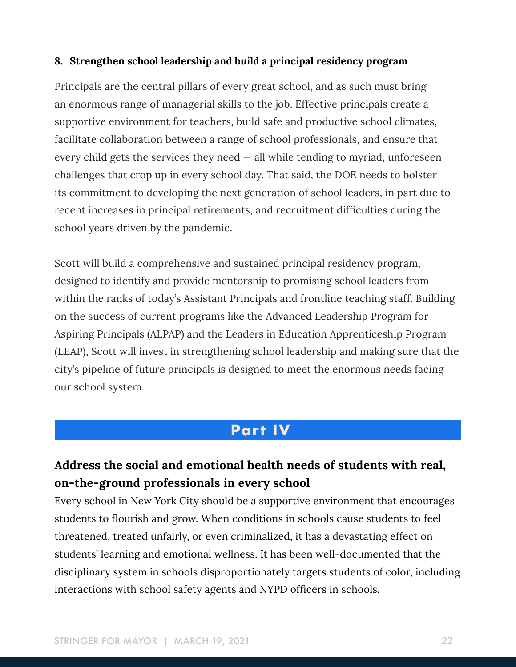#### **8. Strengthen school leadership and build a principal residency program**

Principals are the central pillars of every great school, and as such must bring an enormous range of managerial skills to the job. Effective principals create a supportive environment for teachers, build safe and productive school climates, facilitate collaboration between a range of school professionals, and ensure that every child gets the services they need  $-$  all while tending to myriad, unforeseen challenges that crop up in every school day. That said, the DOE needs to bolster its commitment to developing the next generation of school leaders, in part due to recent increases in principal retirements, and recruitment difficulties during the school years driven by the pandemic.

Scott will build a comprehensive and sustained principal residency program, designed to identify and provide mentorship to promising school leaders from within the ranks of today's Assistant Principals and frontline teaching staff. Building on the success of current programs like the Advanced Leadership Program for Aspiring Principals (ALPAP) and the Leaders in Education Apprenticeship Program (LEAP), Scott will invest in strengthening school leadership and making sure that the city's pipeline of future principals is designed to meet the enormous needs facing our school system.

# **Part IV**

# **Address the social and emotional health needs of students with real, on-the-ground professionals in every school**

Every school in New York City should be a supportive environment that encourages students to flourish and grow. When conditions in schools cause students to feel threatened, treated unfairly, or even criminalized, it has a devastating effect on students' learning and emotional wellness. It has been well-documented that the disciplinary system in schools disproportionately targets students of color, including interactions with school safety agents and NYPD officers in schools.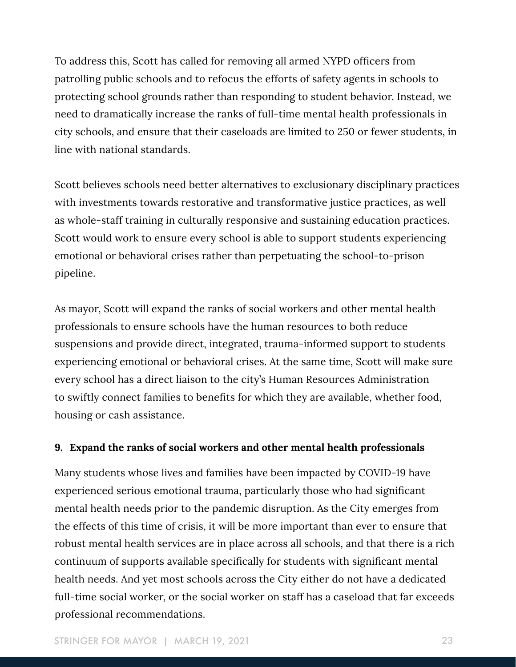To address this, Scott has called for removing all armed NYPD officers from patrolling public schools and to refocus the efforts of safety agents in schools to protecting school grounds rather than responding to student behavior. Instead, we need to dramatically increase the ranks of full-time mental health professionals in city schools, and ensure that their caseloads are limited to 250 or fewer students, in line with national standards.

Scott believes schools need better alternatives to exclusionary disciplinary practices with investments towards restorative and transformative justice practices, as well as whole-staff training in culturally responsive and sustaining education practices. Scott would work to ensure every school is able to support students experiencing emotional or behavioral crises rather than perpetuating the school-to-prison pipeline.

As mayor, Scott will expand the ranks of social workers and other mental health professionals to ensure schools have the human resources to both reduce suspensions and provide direct, integrated, trauma-informed support to students experiencing emotional or behavioral crises. At the same time, Scott will make sure every school has a direct liaison to the city's Human Resources Administration to swiftly connect families to benefits for which they are available, whether food, housing or cash assistance.

#### **9. Expand the ranks of social workers and other mental health professionals**

Many students whose lives and families have been impacted by COVID-19 have experienced serious emotional trauma, particularly those who had significant mental health needs prior to the pandemic disruption. As the City emerges from the effects of this time of crisis, it will be more important than ever to ensure that robust mental health services are in place across all schools, and that there is a rich continuum of supports available specifically for students with significant mental health needs. And yet most schools across the City either do not have a dedicated full-time social worker, or the social worker on staff has a caseload that far exceeds professional recommendations.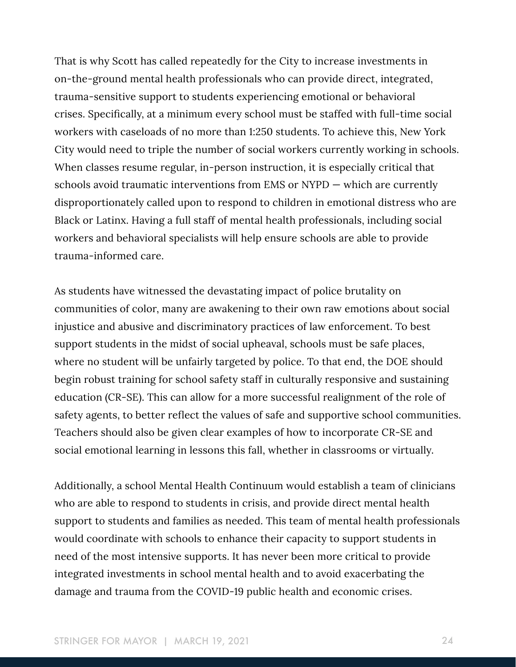That is why Scott has called repeatedly for the City to increase investments in on-the-ground mental health professionals who can provide direct, integrated, trauma-sensitive support to students experiencing emotional or behavioral crises. Specifically, at a minimum every school must be staffed with full-time social workers with caseloads of no more than 1:250 students. To achieve this, New York City would need to triple the number of social workers currently working in schools. When classes resume regular, in-person instruction, it is especially critical that schools avoid traumatic interventions from EMS or NYPD — which are currently disproportionately called upon to respond to children in emotional distress who are Black or Latinx. Having a full staff of mental health professionals, including social workers and behavioral specialists will help ensure schools are able to provide trauma-informed care.

As students have witnessed the devastating impact of police brutality on communities of color, many are awakening to their own raw emotions about social injustice and abusive and discriminatory practices of law enforcement. To best support students in the midst of social upheaval, schools must be safe places, where no student will be unfairly targeted by police. To that end, the DOE should begin robust training for school safety staff in culturally responsive and sustaining education (CR-SE). This can allow for a more successful realignment of the role of safety agents, to better reflect the values of safe and supportive school communities. Teachers should also be given clear examples of how to incorporate CR-SE and social emotional learning in lessons this fall, whether in classrooms or virtually.

Additionally, a school Mental Health Continuum would establish a team of clinicians who are able to respond to students in crisis, and provide direct mental health support to students and families as needed. This team of mental health professionals would coordinate with schools to enhance their capacity to support students in need of the most intensive supports. It has never been more critical to provide integrated investments in school mental health and to avoid exacerbating the damage and trauma from the COVID-19 public health and economic crises.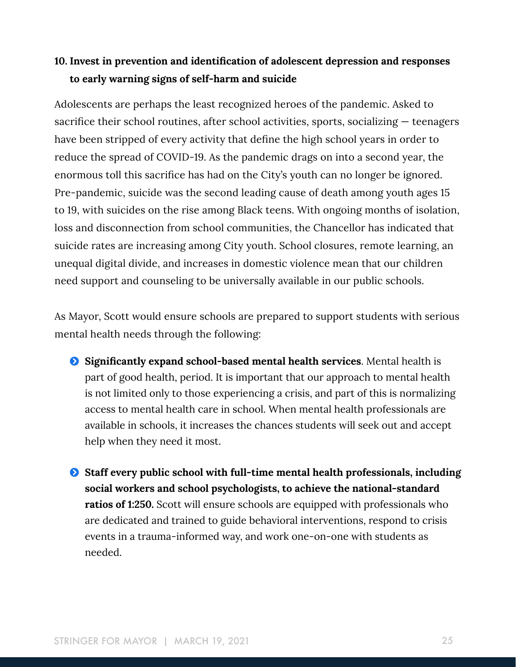### **10. Invest in prevention and identification of adolescent depression and responses to early warning signs of self-harm and suicide**

Adolescents are perhaps the least recognized heroes of the pandemic. Asked to sacrifice their school routines, after school activities, sports, socializing — teenagers have been stripped of every activity that define the high school years in order to reduce the spread of COVID-19. As the pandemic drags on into a second year, the enormous toll this sacrifice has had on the City's youth can no longer be ignored. Pre-pandemic, suicide was the second leading cause of death among youth ages 15 to 19, with suicides on the rise among Black teens. With ongoing months of isolation, loss and disconnection from school communities, the Chancellor has indicated that suicide rates are increasing among City youth. School closures, remote learning, an unequal digital divide, and increases in domestic violence mean that our children need support and counseling to be universally available in our public schools.

As Mayor, Scott would ensure schools are prepared to support students with serious mental health needs through the following:

- Ģ **Significantly expand school-based mental health services**. Mental health is part of good health, period. It is important that our approach to mental health is not limited only to those experiencing a crisis, and part of this is normalizing access to mental health care in school. When mental health professionals are available in schools, it increases the chances students will seek out and accept help when they need it most.
- Ģ **Staff every public school with full-time mental health professionals, including social workers and school psychologists, to achieve the national-standard ratios of 1:250.** Scott will ensure schools are equipped with professionals who are dedicated and trained to guide behavioral interventions, respond to crisis events in a trauma-informed way, and work one-on-one with students as needed.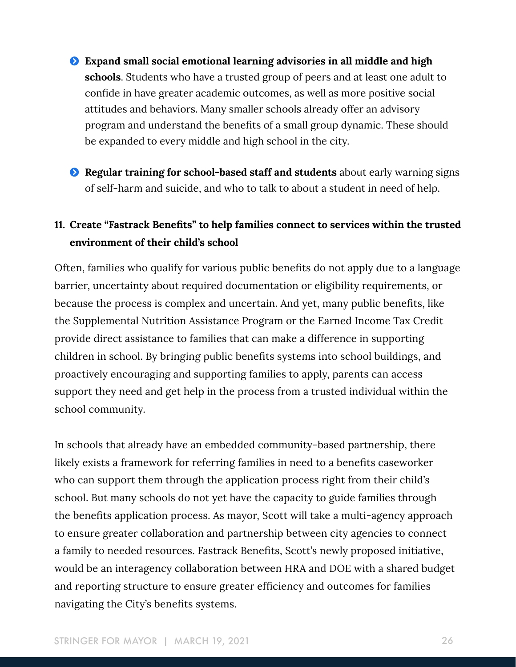- Ģ **Expand small social emotional learning advisories in all middle and high schools**. Students who have a trusted group of peers and at least one adult to confide in have greater academic outcomes, as well as more positive social attitudes and behaviors. Many smaller schools already offer an advisory program and understand the benefits of a small group dynamic. These should be expanded to every middle and high school in the city.
- **Example 3 Regular training for school-based staff and students** about early warning signs of self-harm and suicide, and who to talk to about a student in need of help.

### **11. Create "Fastrack Benefits" to help families connect to services within the trusted environment of their child's school**

Often, families who qualify for various public benefits do not apply due to a language barrier, uncertainty about required documentation or eligibility requirements, or because the process is complex and uncertain. And yet, many public benefits, like the Supplemental Nutrition Assistance Program or the Earned Income Tax Credit provide direct assistance to families that can make a difference in supporting children in school. By bringing public benefits systems into school buildings, and proactively encouraging and supporting families to apply, parents can access support they need and get help in the process from a trusted individual within the school community.

In schools that already have an embedded community-based partnership, there likely exists a framework for referring families in need to a benefits caseworker who can support them through the application process right from their child's school. But many schools do not yet have the capacity to guide families through the benefits application process. As mayor, Scott will take a multi-agency approach to ensure greater collaboration and partnership between city agencies to connect a family to needed resources. Fastrack Benefits, Scott's newly proposed initiative, would be an interagency collaboration between HRA and DOE with a shared budget and reporting structure to ensure greater efficiency and outcomes for families navigating the City's benefits systems.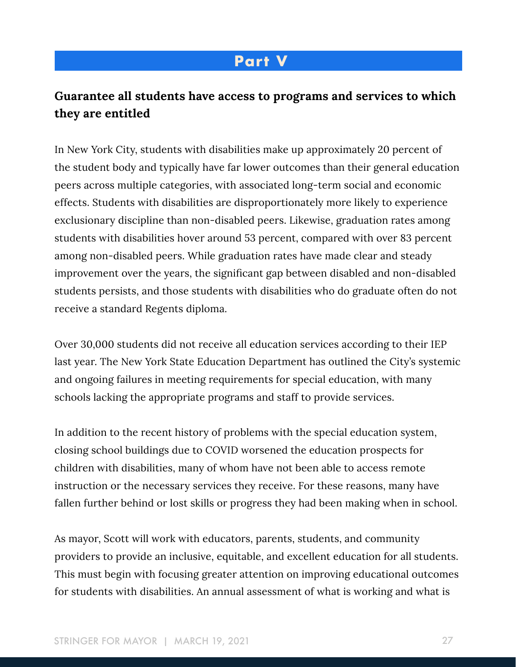# **Part V**

# **Guarantee all students have access to programs and services to which they are entitled**

In New York City, students with disabilities make up approximately 20 percent of the student body and typically have far lower outcomes than their general education peers across multiple categories, with associated long-term social and economic effects. Students with disabilities are disproportionately more likely to experience exclusionary discipline than non-disabled peers. Likewise, graduation rates among students with disabilities hover around 53 percent, compared with over 83 percent among non-disabled peers. While graduation rates have made clear and steady improvement over the years, the significant gap between disabled and non-disabled students persists, and those students with disabilities who do graduate often do not receive a standard Regents diploma.

Over 30,000 students did not receive all education services according to their IEP last year. The New York State Education Department has outlined the City's systemic and ongoing failures in meeting requirements for special education, with many schools lacking the appropriate programs and staff to provide services.

In addition to the recent history of problems with the special education system, closing school buildings due to COVID worsened the education prospects for children with disabilities, many of whom have not been able to access remote instruction or the necessary services they receive. For these reasons, many have fallen further behind or lost skills or progress they had been making when in school.

As mayor, Scott will work with educators, parents, students, and community providers to provide an inclusive, equitable, and excellent education for all students. This must begin with focusing greater attention on improving educational outcomes for students with disabilities. An annual assessment of what is working and what is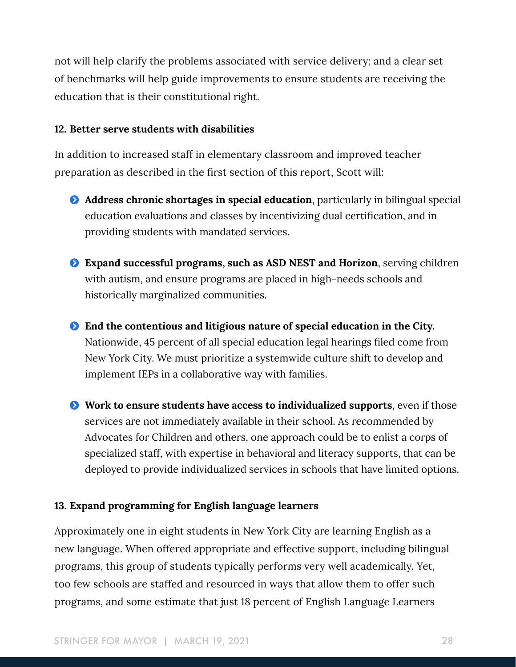not will help clarify the problems associated with service delivery; and a clear set of benchmarks will help guide improvements to ensure students are receiving the education that is their constitutional right.

#### **12. Better serve students with disabilities**

In addition to increased staff in elementary classroom and improved teacher preparation as described in the first section of this report, Scott will:

- Ģ **Address chronic shortages in special education**, particularly in bilingual special education evaluations and classes by incentivizing dual certification, and in providing students with mandated services.
- Ģ **Expand successful programs, such as ASD NEST and Horizon**, serving children with autism, and ensure programs are placed in high-needs schools and historically marginalized communities.
- Ģ **End the contentious and litigious nature of special education in the City.** Nationwide, 45 percent of all special education legal hearings filed come from New York City. We must prioritize a systemwide culture shift to develop and implement IEPs in a collaborative way with families.
- Ģ **Work to ensure students have access to individualized supports**, even if those services are not immediately available in their school. As recommended by Advocates for Children and others, one approach could be to enlist a corps of specialized staff, with expertise in behavioral and literacy supports, that can be deployed to provide individualized services in schools that have limited options.

#### **13. Expand programming for English language learners**

Approximately one in eight students in New York City are learning English as a new language. When offered appropriate and effective support, including bilingual programs, this group of students typically performs very well academically. Yet, too few schools are staffed and resourced in ways that allow them to offer such programs, and some estimate that just 18 percent of English Language Learners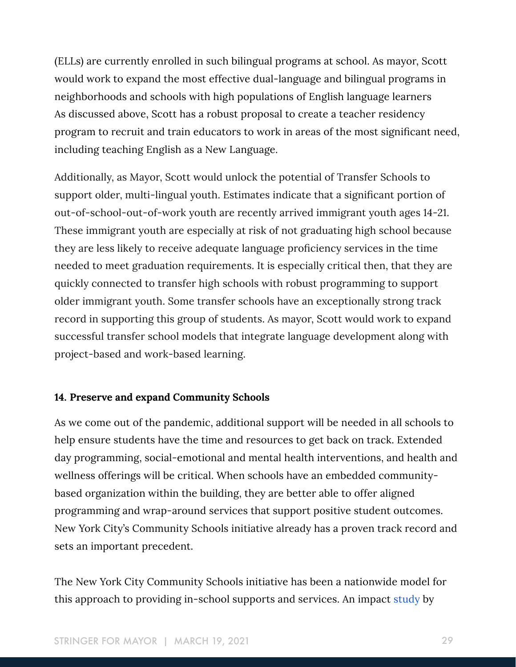(ELLs) are currently enrolled in such bilingual programs at school. As mayor, Scott would work to expand the most effective dual-language and bilingual programs in neighborhoods and schools with high populations of English language learners As discussed above, Scott has a robust proposal to create a teacher residency program to recruit and train educators to work in areas of the most significant need, including teaching English as a New Language.

Additionally, as Mayor, Scott would unlock the potential of Transfer Schools to support older, multi-lingual youth. Estimates indicate that a significant portion of out-of-school-out-of-work youth are recently arrived immigrant youth ages 14-21. These immigrant youth are especially at risk of not graduating high school because they are less likely to receive adequate language proficiency services in the time needed to meet graduation requirements. It is especially critical then, that they are quickly connected to transfer high schools with robust programming to support older immigrant youth. Some transfer schools have an exceptionally strong track record in supporting this group of students. As mayor, Scott would work to expand successful transfer school models that integrate language development along with project-based and work-based learning.

#### **14. Preserve and expand Community Schools**

As we come out of the pandemic, additional support will be needed in all schools to help ensure students have the time and resources to get back on track. Extended day programming, social-emotional and mental health interventions, and health and wellness offerings will be critical. When schools have an embedded communitybased organization within the building, they are better able to offer aligned programming and wrap-around services that support positive student outcomes. New York City's Community Schools initiative already has a proven track record and sets an important precedent.

The New York City Community Schools initiative has been a nationwide model for this approach to providing in-school supports and services. An impact [study](https://www.rand.org/pubs/research_reports/RR3245.html) by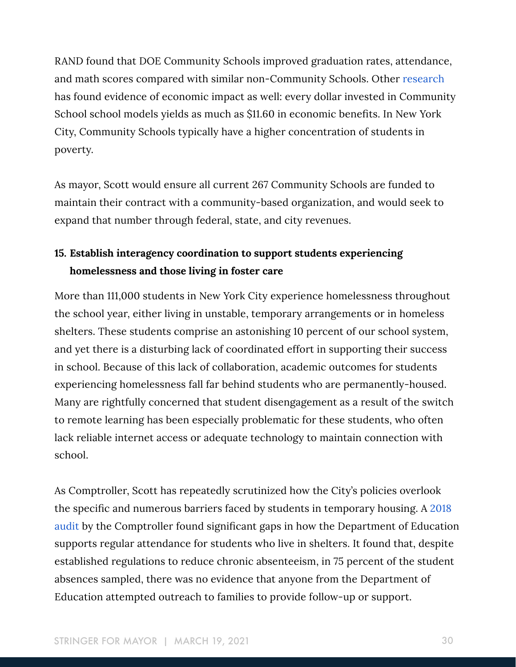RAND found that DOE Community Schools improved graduation rates, attendance, and math scores compared with similar non-Community Schools. Other [research](https://learningpolicyinstitute.org/sites/default/files/product-files/Community_Schools_Effective_REPORT.pdf) has found evidence of economic impact as well: every dollar invested in Community School school models yields as much as \$11.60 in economic benefits. In New York City, Community Schools typically have a higher concentration of students in poverty.

As mayor, Scott would ensure all current 267 Community Schools are funded to maintain their contract with a community-based organization, and would seek to expand that number through federal, state, and city revenues.

### **15. Establish interagency coordination to support students experiencing homelessness and those living in foster care**

More than 111,000 students in New York City experience homelessness throughout the school year, either living in unstable, temporary arrangements or in homeless shelters. These students comprise an astonishing 10 percent of our school system, and yet there is a disturbing lack of coordinated effort in supporting their success in school. Because of this lack of collaboration, academic outcomes for students experiencing homelessness fall far behind students who are permanently-housed. Many are rightfully concerned that student disengagement as a result of the switch to remote learning has been especially problematic for these students, who often lack reliable internet access or adequate technology to maintain connection with school.

As Comptroller, Scott has repeatedly scrutinized how the City's policies overlook the specific and numerous barriers faced by students in temporary housing. A [2018](https://comptroller.nyc.gov/newsroom/press-releases/comptroller-stringer-audit-massive-doe-breakdowns-endanger-homeless-students/)  [audit](https://comptroller.nyc.gov/newsroom/press-releases/comptroller-stringer-audit-massive-doe-breakdowns-endanger-homeless-students/) by the Comptroller found significant gaps in how the Department of Education supports regular attendance for students who live in shelters. It found that, despite established regulations to reduce chronic absenteeism, in 75 percent of the student absences sampled, there was no evidence that anyone from the Department of Education attempted outreach to families to provide follow-up or support.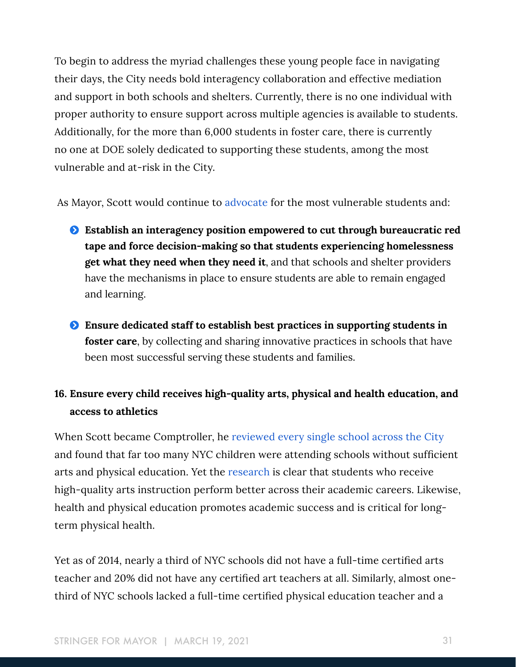To begin to address the myriad challenges these young people face in navigating their days, the City needs bold interagency collaboration and effective mediation and support in both schools and shelters. Currently, there is no one individual with proper authority to ensure support across multiple agencies is available to students. Additionally, for the more than 6,000 students in foster care, there is currently no one at DOE solely dedicated to supporting these students, among the most vulnerable and at-risk in the City.

As Mayor, Scott would continue to [advocate](https://comptroller.nyc.gov/newsroom/comptroller-stringer-and-advocates-for-children-of-new-york-executive-director-kim-sweet-op-ed-new-york-city-needs-to-help-students-in-shelters-get-the-instruction-they-need/) for the most vulnerable students and:

- Ģ **Establish an interagency position empowered to cut through bureaucratic red tape and force decision-making so that students experiencing homelessness get what they need when they need it**, and that schools and shelter providers have the mechanisms in place to ensure students are able to remain engaged and learning.
- Ģ **Ensure dedicated staff to establish best practices in supporting students in foster care**, by collecting and sharing innovative practices in schools that have been most successful serving these students and families.

# **16. Ensure every child receives high-quality arts, physical and health education, and access to athletics**

When Scott became Comptroller, he [reviewed every single school across the City](https://comptroller.nyc.gov/newsroom/stringer-report-finds-significant-disparities-in-arts-education/) and found that far too many NYC children were attending schools without sufficient arts and physical education. Yet the [research](https://www.sciencedaily.com/releases/2019/03/190312123720.htm#:~:text=A%20new%20study%20found%20a,sixth%2C%20seventh%20and%20eighth%20grade.) is clear that students who receive high-quality arts instruction perform better across their academic careers. Likewise, health and physical education promotes academic success and is critical for longterm physical health.

Yet as of 2014, nearly a third of NYC schools did not have a full-time certified arts teacher and 20% did not have any certified art teachers at all. Similarly, almost onethird of NYC schools lacked a full-time certified physical education teacher and a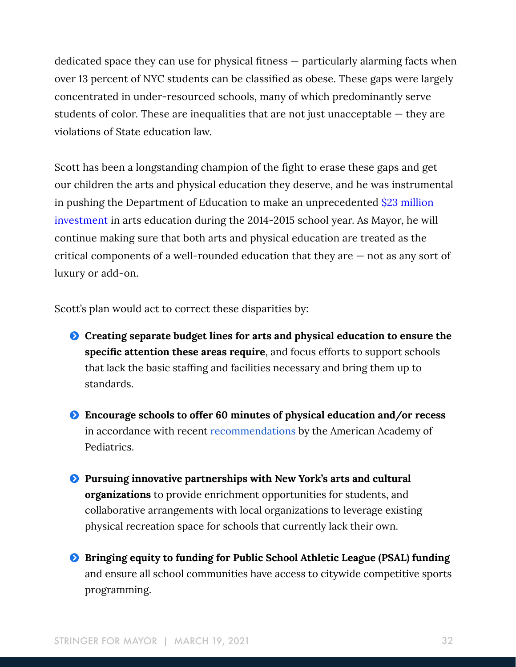dedicated space they can use for physical fitness — particularly alarming facts when over 13 percent of NYC students can be classified as obese. These gaps were largely concentrated in under-resourced schools, many of which predominantly serve students of color. These are inequalities that are not just unacceptable — they are violations of State education law.

Scott has been a longstanding champion of the fight to erase these gaps and get our children the arts and physical education they deserve, and he was instrumental in pushing the Department of Education to make an unprecedented [\\$23 million](https://www1.nyc.gov/office-of-the-mayor/news/322-14/mayor-de-blasio-comptroller-stringer-chancellor-fari-a-new-arts-programs-for#/0)  [investment](https://www1.nyc.gov/office-of-the-mayor/news/322-14/mayor-de-blasio-comptroller-stringer-chancellor-fari-a-new-arts-programs-for#/0) in arts education during the 2014-2015 school year. As Mayor, he will continue making sure that both arts and physical education are treated as the critical components of a well-rounded education that they are — not as any sort of luxury or add-on.

Scott's plan would act to correct these disparities by:

- Ģ **Creating separate budget lines for arts and physical education to ensure the specific attention these areas require**, and focus efforts to support schools that lack the basic staffing and facilities necessary and bring them up to standards.
- Ģ **Encourage schools to offer 60 minutes of physical education and/or recess** in accordance with recent [recommendations](https://pediatrics.aappublications.org/content/145/3/e20193992) by the American Academy of Pediatrics.
- Ģ **Pursuing innovative partnerships with New York's arts and cultural organizations** to provide enrichment opportunities for students, and collaborative arrangements with local organizations to leverage existing physical recreation space for schools that currently lack their own.
- $\bullet$  Bringing equity to funding for Public School Athletic League (PSAL) funding and ensure all school communities have access to citywide competitive sports programming.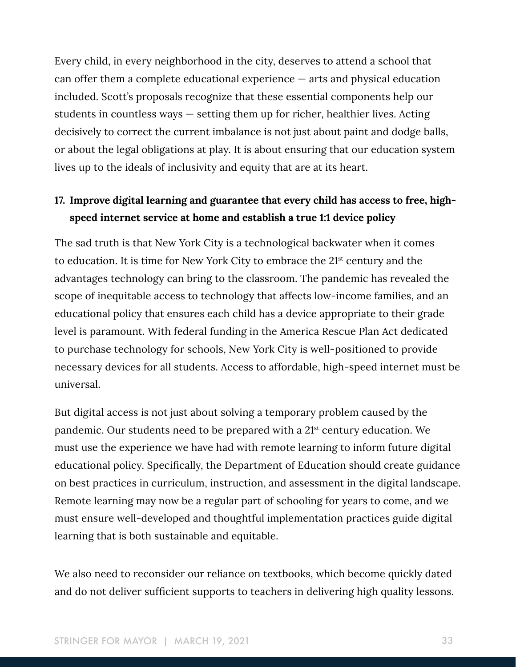Every child, in every neighborhood in the city, deserves to attend a school that can offer them a complete educational experience — arts and physical education included. Scott's proposals recognize that these essential components help our students in countless ways — setting them up for richer, healthier lives. Acting decisively to correct the current imbalance is not just about paint and dodge balls, or about the legal obligations at play. It is about ensuring that our education system lives up to the ideals of inclusivity and equity that are at its heart.

### **17. Improve digital learning and guarantee that every child has access to free, highspeed internet service at home and establish a true 1:1 device policy**

The sad truth is that New York City is a technological backwater when it comes to education. It is time for New York City to embrace the 21st century and the advantages technology can bring to the classroom. The pandemic has revealed the scope of inequitable access to technology that affects low-income families, and an educational policy that ensures each child has a device appropriate to their grade level is paramount. With federal funding in the America Rescue Plan Act dedicated to purchase technology for schools, New York City is well-positioned to provide necessary devices for all students. Access to affordable, high-speed internet must be universal.

But digital access is not just about solving a temporary problem caused by the pandemic. Our students need to be prepared with a 21st century education. We must use the experience we have had with remote learning to inform future digital educational policy. Specifically, the Department of Education should create guidance on best practices in curriculum, instruction, and assessment in the digital landscape. Remote learning may now be a regular part of schooling for years to come, and we must ensure well-developed and thoughtful implementation practices guide digital learning that is both sustainable and equitable.

We also need to reconsider our reliance on textbooks, which become quickly dated and do not deliver sufficient supports to teachers in delivering high quality lessons.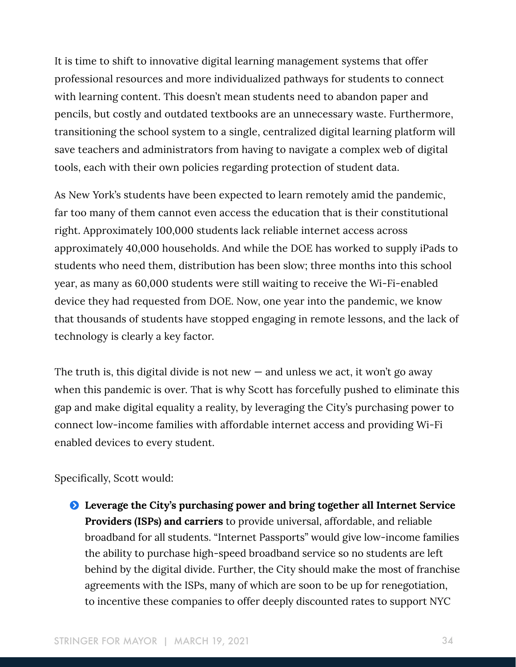It is time to shift to innovative digital learning management systems that offer professional resources and more individualized pathways for students to connect with learning content. This doesn't mean students need to abandon paper and pencils, but costly and outdated textbooks are an unnecessary waste. Furthermore, transitioning the school system to a single, centralized digital learning platform will save teachers and administrators from having to navigate a complex web of digital tools, each with their own policies regarding protection of student data.

As New York's students have been expected to learn remotely amid the pandemic, far too many of them cannot even access the education that is their constitutional right. Approximately 100,000 students lack reliable internet access across approximately 40,000 households. And while the DOE has worked to supply iPads to students who need them, distribution has been slow; three months into this school year, as many as 60,000 students were still waiting to receive the Wi-Fi-enabled device they had requested from DOE. Now, one year into the pandemic, we know that thousands of students have stopped engaging in remote lessons, and the lack of technology is clearly a key factor.

The truth is, this digital divide is not new  $-$  and unless we act, it won't go away when this pandemic is over. That is why Scott has forcefully pushed to eliminate this gap and make digital equality a reality, by leveraging the City's purchasing power to connect low-income families with affordable internet access and providing Wi-Fi enabled devices to every student.

#### Specifically, Scott would:

Ģ **Leverage the City's purchasing power and bring together all Internet Service Providers (ISPs) and carriers** to provide universal, affordable, and reliable broadband for all students. "Internet Passports" would give low-income families the ability to purchase high-speed broadband service so no students are left behind by the digital divide. Further, the City should make the most of franchise agreements with the ISPs, many of which are soon to be up for renegotiation, to incentive these companies to offer deeply discounted rates to support NYC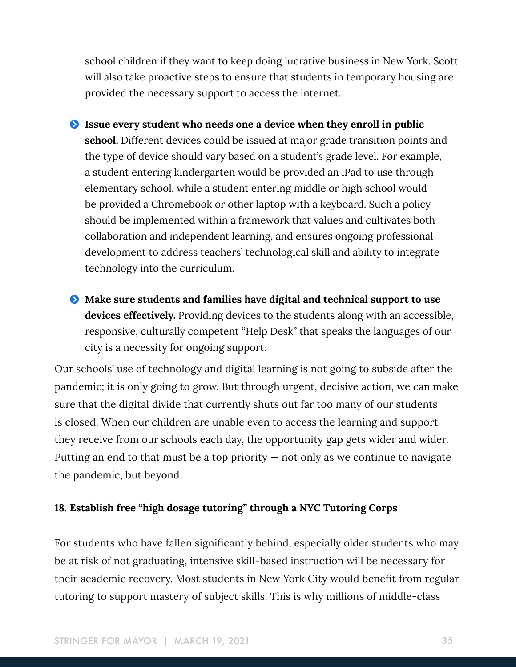school children if they want to keep doing lucrative business in New York. Scott will also take proactive steps to ensure that students in temporary housing are provided the necessary support to access the internet.

Ģ **Issue every student who needs one a device when they enroll in public school.** Different devices could be issued at major grade transition points and the type of device should vary based on a student's grade level. For example, a student entering kindergarten would be provided an iPad to use through elementary school, while a student entering middle or high school would be provided a Chromebook or other laptop with a keyboard. Such a policy should be implemented within a framework that values and cultivates both collaboration and independent learning, and ensures ongoing professional development to address teachers' technological skill and ability to integrate technology into the curriculum.

Ģ **Make sure students and families have digital and technical support to use devices effectively.** Providing devices to the students along with an accessible, responsive, culturally competent "Help Desk" that speaks the languages of our city is a necessity for ongoing support.

Our schools' use of technology and digital learning is not going to subside after the pandemic; it is only going to grow. But through urgent, decisive action, we can make sure that the digital divide that currently shuts out far too many of our students is closed. When our children are unable even to access the learning and support they receive from our schools each day, the opportunity gap gets wider and wider. Putting an end to that must be a top priority — not only as we continue to navigate the pandemic, but beyond.

#### **18. Establish free "high dosage tutoring" through a NYC Tutoring Corps**

For students who have fallen significantly behind, especially older students who may be at risk of not graduating, intensive skill-based instruction will be necessary for their academic recovery. Most students in New York City would benefit from regular tutoring to support mastery of subject skills. This is why millions of middle-class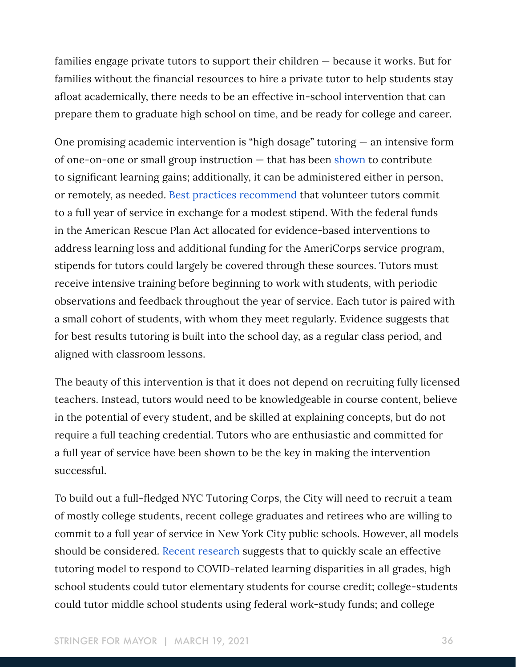families engage private tutors to support their children — because it works. But for families without the financial resources to hire a private tutor to help students stay afloat academically, there needs to be an effective in-school intervention that can prepare them to graduate high school on time, and be ready for college and career.

One promising academic intervention is "high dosage" tutoring — an intensive form of one-on-one or small group instruction — that has been [shown](https://edworkingpapers.com/sites/default/files/ai20-267.pdf) to contribute to significant learning gains; additionally, it can be administered either in person, or remotely, as needed. [Best practices recommend](https://annenberg.brown.edu/sites/default/files/EdResearch_for_Recovery_Design_Principles_1.pdf) that volunteer tutors commit to a full year of service in exchange for a modest stipend. With the federal funds in the American Rescue Plan Act allocated for evidence-based interventions to address learning loss and additional funding for the AmeriCorps service program, stipends for tutors could largely be covered through these sources. Tutors must receive intensive training before beginning to work with students, with periodic observations and feedback throughout the year of service. Each tutor is paired with a small cohort of students, with whom they meet regularly. Evidence suggests that for best results tutoring is built into the school day, as a regular class period, and aligned with classroom lessons.

The beauty of this intervention is that it does not depend on recruiting fully licensed teachers. Instead, tutors would need to be knowledgeable in course content, believe in the potential of every student, and be skilled at explaining concepts, but do not require a full teaching credential. Tutors who are enthusiastic and committed for a full year of service have been shown to be the key in making the intervention successful.

To build out a full-fledged NYC Tutoring Corps, the City will need to recruit a team of mostly college students, recent college graduates and retirees who are willing to commit to a full year of service in New York City public schools. However, all models should be considered. [Recent research s](https://www.edworkingpapers.com/sites/default/files/ai20-335.pdf)uggests that to quickly scale an effective tutoring model to respond to COVID-related learning disparities in all grades, high school students could tutor elementary students for course credit; college-students could tutor middle school students using federal work-study funds; and college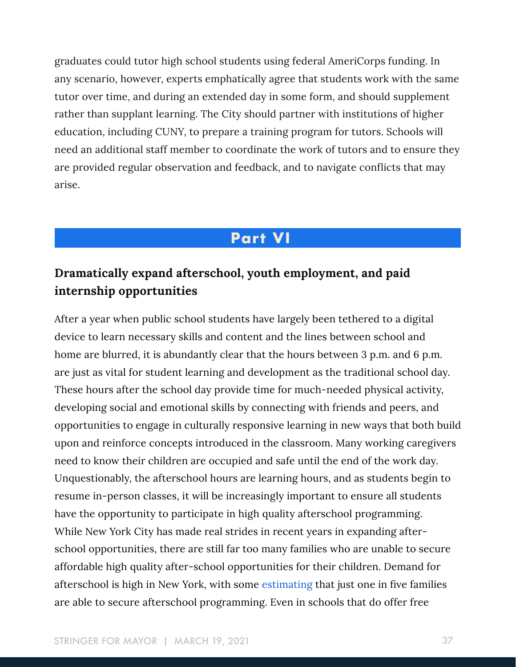graduates could tutor high school students using federal AmeriCorps funding. In any scenario, however, experts emphatically agree that students work with the same tutor over time, and during an extended day in some form, and should supplement rather than supplant learning. The City should partner with institutions of higher education, including CUNY, to prepare a training program for tutors. Schools will need an additional staff member to coordinate the work of tutors and to ensure they are provided regular observation and feedback, and to navigate conflicts that may arise.

# **Part VI**

# **Dramatically expand afterschool, youth employment, and paid internship opportunities**

After a year when public school students have largely been tethered to a digital device to learn necessary skills and content and the lines between school and home are blurred, it is abundantly clear that the hours between 3 p.m. and 6 p.m. are just as vital for student learning and development as the traditional school day. These hours after the school day provide time for much-needed physical activity, developing social and emotional skills by connecting with friends and peers, and opportunities to engage in culturally responsive learning in new ways that both build upon and reinforce concepts introduced in the classroom. Many working caregivers need to know their children are occupied and safe until the end of the work day. Unquestionably, the afterschool hours are learning hours, and as students begin to resume in-person classes, it will be increasingly important to ensure all students have the opportunity to participate in high quality afterschool programming. While New York City has made real strides in recent years in expanding afterschool opportunities, there are still far too many families who are unable to secure affordable high quality after-school opportunities for their children. Demand for afterschool is high in New York, with some [estimating](http://www.afterschoolalliance.org/policyStateFacts.cfm?state=NY) that just one in five families are able to secure afterschool programming. Even in schools that do offer free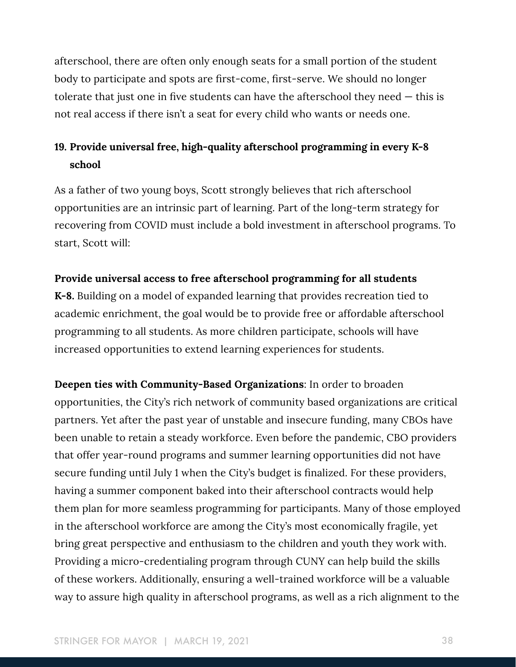afterschool, there are often only enough seats for a small portion of the student body to participate and spots are first-come, first-serve. We should no longer tolerate that just one in five students can have the afterschool they need — this is not real access if there isn't a seat for every child who wants or needs one.

# **19. Provide universal free, high-quality afterschool programming in every K-8 school**

As a father of two young boys, Scott strongly believes that rich afterschool opportunities are an intrinsic part of learning. Part of the long-term strategy for recovering from COVID must include a bold investment in afterschool programs. To start, Scott will:

#### **Provide universal access to free afterschool programming for all students**

**K-8.** Building on a model of expanded learning that provides recreation tied to academic enrichment, the goal would be to provide free or affordable afterschool programming to all students. As more children participate, schools will have increased opportunities to extend learning experiences for students.

**Deepen ties with Community-Based Organizations**: In order to broaden opportunities, the City's rich network of community based organizations are critical partners. Yet after the past year of unstable and insecure funding, many CBOs have been unable to retain a steady workforce. Even before the pandemic, CBO providers that offer year-round programs and summer learning opportunities did not have secure funding until July 1 when the City's budget is finalized. For these providers, having a summer component baked into their afterschool contracts would help them plan for more seamless programming for participants. Many of those employed in the afterschool workforce are among the City's most economically fragile, yet bring great perspective and enthusiasm to the children and youth they work with. Providing a micro-credentialing program through CUNY can help build the skills of these workers. Additionally, ensuring a well-trained workforce will be a valuable way to assure high quality in afterschool programs, as well as a rich alignment to the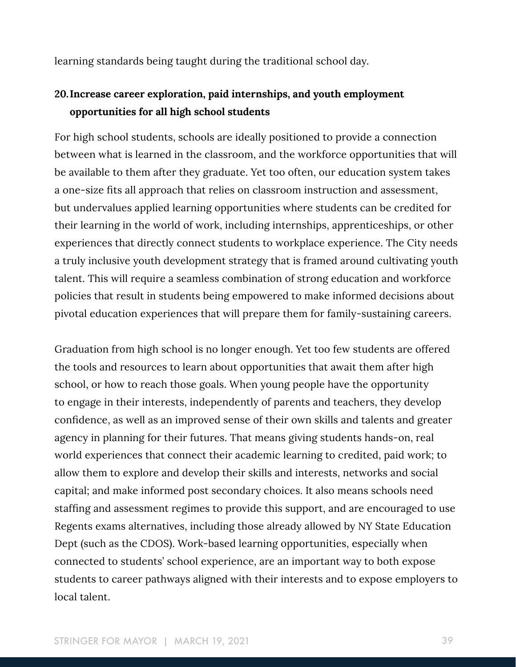learning standards being taught during the traditional school day.

## **20.Increase career exploration, paid internships, and youth employment opportunities for all high school students**

For high school students, schools are ideally positioned to provide a connection between what is learned in the classroom, and the workforce opportunities that will be available to them after they graduate. Yet too often, our education system takes a one-size fits all approach that relies on classroom instruction and assessment, but undervalues applied learning opportunities where students can be credited for their learning in the world of work, including internships, apprenticeships, or other experiences that directly connect students to workplace experience. The City needs a truly inclusive youth development strategy that is framed around cultivating youth talent. This will require a seamless combination of strong education and workforce policies that result in students being empowered to make informed decisions about pivotal education experiences that will prepare them for family-sustaining careers.

Graduation from high school is no longer enough. Yet too few students are offered the tools and resources to learn about opportunities that await them after high school, or how to reach those goals. When young people have the opportunity to engage in their interests, independently of parents and teachers, they develop confidence, as well as an improved sense of their own skills and talents and greater agency in planning for their futures. That means giving students hands-on, real world experiences that connect their academic learning to credited, paid work; to allow them to explore and develop their skills and interests, networks and social capital; and make informed post secondary choices. It also means schools need staffing and assessment regimes to provide this support, and are encouraged to use Regents exams alternatives, including those already allowed by NY State Education Dept (such as the CDOS). Work-based learning opportunities, especially when connected to students' school experience, are an important way to both expose students to career pathways aligned with their interests and to expose employers to local talent.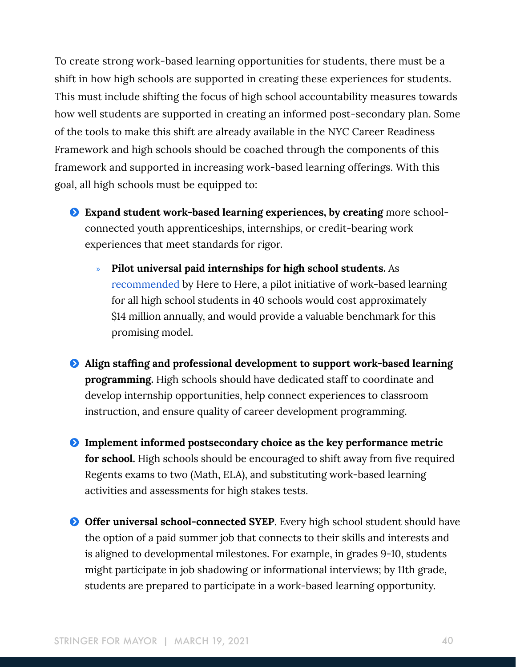To create strong work-based learning opportunities for students, there must be a shift in how high schools are supported in creating these experiences for students. This must include shifting the focus of high school accountability measures towards how well students are supported in creating an informed post-secondary plan. Some of the tools to make this shift are already available in the NYC Career Readiness Framework and high schools should be coached through the components of this framework and supported in increasing work-based learning offerings. With this goal, all high schools must be equipped to:

- Ģ **Expand student work-based learning experiences, by creating** more schoolconnected youth apprenticeships, internships, or credit-bearing work experiences that meet standards for rigor.
	- » **Pilot universal paid internships for high school students.** As [recommended](https://www.heretohere.org/wp-content/uploads/2020/01/One-Step-Closer_H2H-Winter-2020_Online.pdf) by Here to Here, a pilot initiative of work-based learning for all high school students in 40 schools would cost approximately \$14 million annually, and would provide a valuable benchmark for this promising model.
- Ģ **Align staffing and professional development to support work-based learning programming.** High schools should have dedicated staff to coordinate and develop internship opportunities, help connect experiences to classroom instruction, and ensure quality of career development programming.
- Ģ **Implement informed postsecondary choice as the key performance metric for school.** High schools should be encouraged to shift away from five required Regents exams to two (Math, ELA), and substituting work-based learning activities and assessments for high stakes tests.
- **O** Offer universal school-connected SYEP. Every high school student should have the option of a paid summer job that connects to their skills and interests and is aligned to developmental milestones. For example, in grades 9-10, students might participate in job shadowing or informational interviews; by 11th grade, students are prepared to participate in a work-based learning opportunity.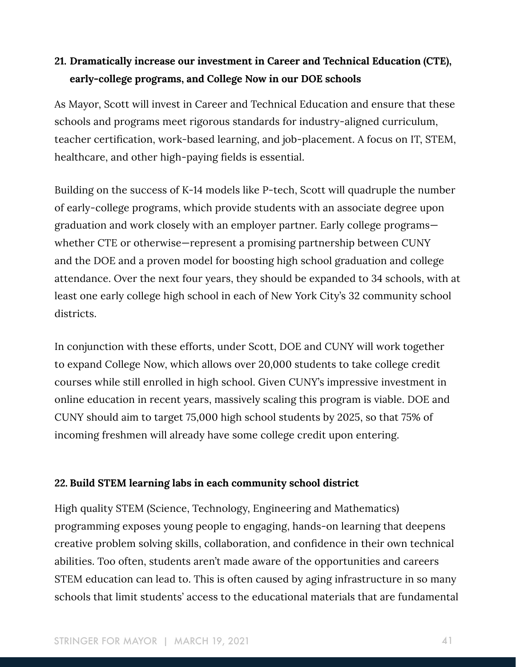# **21. Dramatically increase our investment in Career and Technical Education (CTE), early-college programs, and College Now in our DOE schools**

As Mayor, Scott will invest in Career and Technical Education and ensure that these schools and programs meet rigorous standards for industry-aligned curriculum, teacher certification, work-based learning, and job-placement. A focus on IT, STEM, healthcare, and other high-paying fields is essential.

Building on the success of K-14 models like P-tech, Scott will quadruple the number of early-college programs, which provide students with an associate degree upon graduation and work closely with an employer partner. Early college programs whether CTE or otherwise—represent a promising partnership between CUNY and the DOE and a proven model for boosting high school graduation and college attendance. Over the next four years, they should be expanded to 34 schools, with at least one early college high school in each of New York City's 32 community school districts.

In conjunction with these efforts, under Scott, DOE and CUNY will work together to expand College Now, which allows over 20,000 students to take college credit courses while still enrolled in high school. Given CUNY's impressive investment in online education in recent years, massively scaling this program is viable. DOE and CUNY should aim to target 75,000 high school students by 2025, so that 75% of incoming freshmen will already have some college credit upon entering.

#### **22. Build STEM learning labs in each community school district**

High quality STEM (Science, Technology, Engineering and Mathematics) programming exposes young people to engaging, hands-on learning that deepens creative problem solving skills, collaboration, and confidence in their own technical abilities. Too often, students aren't made aware of the opportunities and careers STEM education can lead to. This is often caused by aging infrastructure in so many schools that limit students' access to the educational materials that are fundamental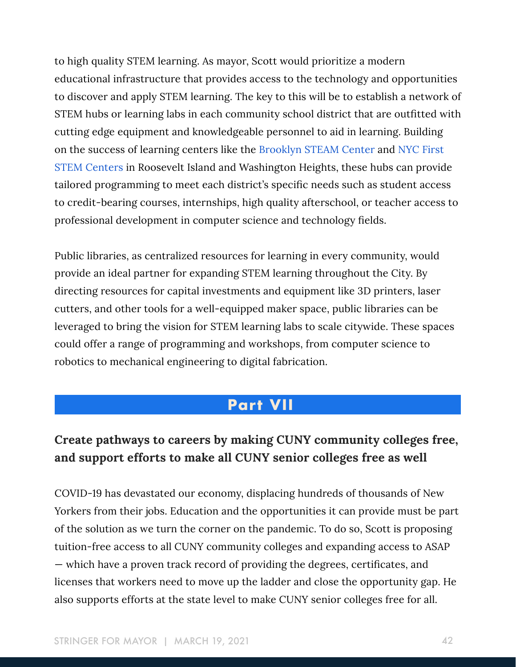to high quality STEM learning. As mayor, Scott would prioritize a modern educational infrastructure that provides access to the technology and opportunities to discover and apply STEM learning. The key to this will be to establish a network of STEM hubs or learning labs in each community school district that are outfitted with cutting edge equipment and knowledgeable personnel to aid in learning. Building on the success of learning centers like the [Brooklyn STEAM Center](https://www.brooklynsteamcenter.org/) and [NYC First](https://www.nycfirst.org/stemcenters)  [STEM Centers](https://www.nycfirst.org/stemcenters) in Roosevelt Island and Washington Heights, these hubs can provide tailored programming to meet each district's specific needs such as student access to credit-bearing courses, internships, high quality afterschool, or teacher access to professional development in computer science and technology fields.

Public libraries, as centralized resources for learning in every community, would provide an ideal partner for expanding STEM learning throughout the City. By directing resources for capital investments and equipment like 3D printers, laser cutters, and other tools for a well-equipped maker space, public libraries can be leveraged to bring the vision for STEM learning labs to scale citywide. These spaces could offer a range of programming and workshops, from computer science to robotics to mechanical engineering to digital fabrication.

# **Part VII**

# **Create pathways to careers by making CUNY community colleges free, and support efforts to make all CUNY senior colleges free as well**

COVID-19 has devastated our economy, displacing hundreds of thousands of New Yorkers from their jobs. Education and the opportunities it can provide must be part of the solution as we turn the corner on the pandemic. To do so, Scott is proposing tuition-free access to all CUNY community colleges and expanding access to ASAP — which have a proven track record of providing the degrees, certificates, and licenses that workers need to move up the ladder and close the opportunity gap. He also supports efforts at the state level to make CUNY senior colleges free for all.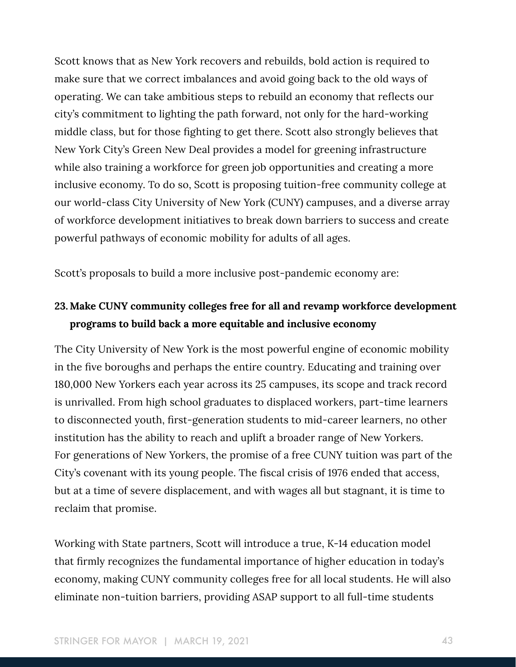Scott knows that as New York recovers and rebuilds, bold action is required to make sure that we correct imbalances and avoid going back to the old ways of operating. We can take ambitious steps to rebuild an economy that reflects our city's commitment to lighting the path forward, not only for the hard-working middle class, but for those fighting to get there. Scott also strongly believes that New York City's Green New Deal provides a model for greening infrastructure while also training a workforce for green job opportunities and creating a more inclusive economy. To do so, Scott is proposing tuition-free community college at our world-class City University of New York (CUNY) campuses, and a diverse array of workforce development initiatives to break down barriers to success and create powerful pathways of economic mobility for adults of all ages.

Scott's proposals to build a more inclusive post-pandemic economy are:

# **23. Make CUNY community colleges free for all and revamp workforce development programs to build back a more equitable and inclusive economy**

The City University of New York is the most powerful engine of economic mobility in the five boroughs and perhaps the entire country. Educating and training over 180,000 New Yorkers each year across its 25 campuses, its scope and track record is unrivalled. From high school graduates to displaced workers, part-time learners to disconnected youth, first-generation students to mid-career learners, no other institution has the ability to reach and uplift a broader range of New Yorkers. For generations of New Yorkers, the promise of a free CUNY tuition was part of the City's covenant with its young people. The fiscal crisis of 1976 ended that access, but at a time of severe displacement, and with wages all but stagnant, it is time to reclaim that promise.

Working with State partners, Scott will introduce a true, K-14 education model that firmly recognizes the fundamental importance of higher education in today's economy, making CUNY community colleges free for all local students. He will also eliminate non-tuition barriers, providing ASAP support to all full-time students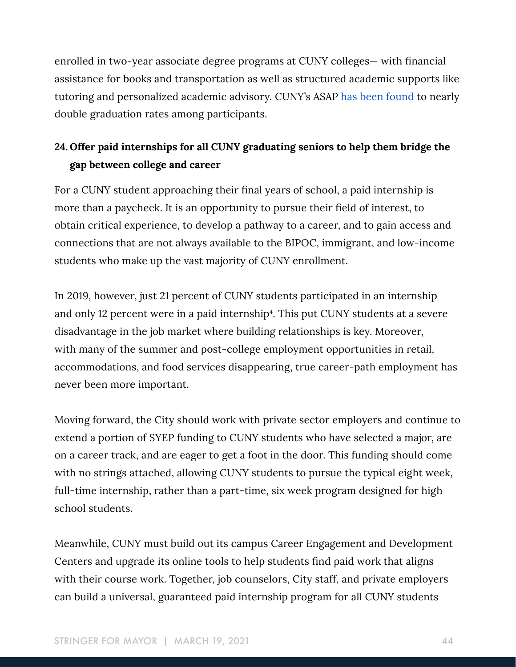enrolled in two-year associate degree programs at CUNY colleges— with financial assistance for books and transportation as well as structured academic supports like tutoring and personalized academic advisory. CUNY's ASAP [has been found](https://www.mdrc.org/publication/power-fully-supporting-community-college-students) to nearly double graduation rates among participants.

# **24. Offer paid internships for all CUNY graduating seniors to help them bridge the gap between college and career**

For a CUNY student approaching their final years of school, a paid internship is more than a paycheck. It is an opportunity to pursue their field of interest, to obtain critical experience, to develop a pathway to a career, and to gain access and connections that are not always available to the BIPOC, immigrant, and low-income students who make up the vast majority of CUNY enrollment.

In 2019, however, just 21 percent of CUNY students participated in an internship and only 12 percent were in a paid internship<sup>4</sup>. This put CUNY students at a severe disadvantage in the job market where building relationships is key. Moreover, with many of the summer and post-college employment opportunities in retail, accommodations, and food services disappearing, true career-path employment has never been more important.

Moving forward, the City should work with private sector employers and continue to extend a portion of SYEP funding to CUNY students who have selected a major, are on a career track, and are eager to get a foot in the door. This funding should come with no strings attached, allowing CUNY students to pursue the typical eight week, full-time internship, rather than a part-time, six week program designed for high school students.

Meanwhile, CUNY must build out its campus Career Engagement and Development Centers and upgrade its online tools to help students find paid work that aligns with their course work. Together, job counselors, City staff, and private employers can build a universal, guaranteed paid internship program for all CUNY students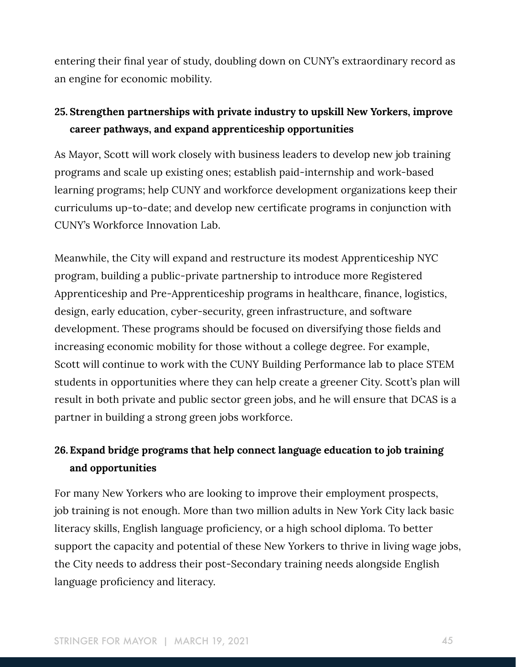entering their final year of study, doubling down on CUNY's extraordinary record as an engine for economic mobility.

# **25. Strengthen partnerships with private industry to upskill New Yorkers, improve career pathways, and expand apprenticeship opportunities**

As Mayor, Scott will work closely with business leaders to develop new job training programs and scale up existing ones; establish paid-internship and work-based learning programs; help CUNY and workforce development organizations keep their curriculums up-to-date; and develop new certificate programs in conjunction with CUNY's Workforce Innovation Lab.

Meanwhile, the City will expand and restructure its modest Apprenticeship NYC program, building a public-private partnership to introduce more Registered Apprenticeship and Pre-Apprenticeship programs in healthcare, finance, logistics, design, early education, cyber-security, green infrastructure, and software development. These programs should be focused on diversifying those fields and increasing economic mobility for those without a college degree. For example, Scott will continue to work with the CUNY Building Performance lab to place STEM students in opportunities where they can help create a greener City. Scott's plan will result in both private and public sector green jobs, and he will ensure that DCAS is a partner in building a strong green jobs workforce.

# **26. Expand bridge programs that help connect language education to job training and opportunities**

For many New Yorkers who are looking to improve their employment prospects, job training is not enough. More than two million adults in New York City lack basic literacy skills, English language proficiency, or a high school diploma. To better support the capacity and potential of these New Yorkers to thrive in living wage jobs, the City needs to address their post-Secondary training needs alongside English language proficiency and literacy.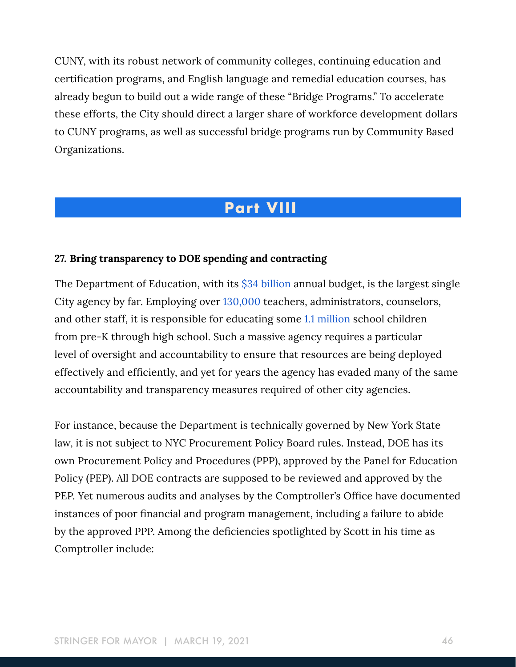CUNY, with its robust network of community colleges, continuing education and certification programs, and English language and remedial education courses, has already begun to build out a wide range of these "Bridge Programs." To accelerate these efforts, the City should direct a larger share of workforce development dollars to CUNY programs, as well as successful bridge programs run by Community Based Organizations.

# **Part VIII**

#### **27. Bring transparency to DOE spending and contracting**

The Department of Education, with its [\\$34 billion a](https://www.schools.nyc.gov/about-us/funding/funding-our-schools)nnual budget, is the largest single City agency by far. Employing over [130,000](https://www.schools.nyc.gov/careers/working-at-the-doe/benefits-and-pay) teachers, administrators, counselors, and other staff, it is responsible for educating some [1.1 million](https://www.ncbi.nlm.nih.gov/books/NBK225557/) school children from pre-K through high school. Such a massive agency requires a particular level of oversight and accountability to ensure that resources are being deployed effectively and efficiently, and yet for years the agency has evaded many of the same accountability and transparency measures required of other city agencies.

For instance, because the Department is technically governed by New York State law, it is not subject to NYC Procurement Policy Board rules. Instead, DOE has its own Procurement Policy and Procedures (PPP), approved by the Panel for Education Policy (PEP). All DOE contracts are supposed to be reviewed and approved by the PEP. Yet numerous audits and analyses by the Comptroller's Office have documented instances of poor financial and program management, including a failure to abide by the approved PPP. Among the deficiencies spotlighted by Scott in his time as Comptroller include: